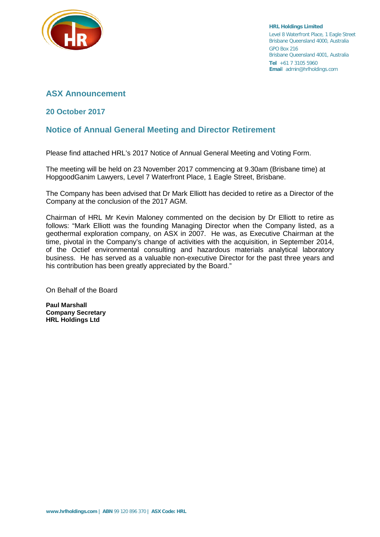

**HRL Holdings Limited** Level 8 Waterfront Place, 1 Eagle Street Brisbane Queensland 4000, Australia GPO Box 216 Brisbane Queensland 4001, Australia **Tel** +61 7 3105 5960 **Emai**l admin@hrlholdings.com

# **ASX Announcement**

# **20 October 2017**

# **Notice of Annual General Meeting and Director Retirement**

Please find attached HRL's 2017 Notice of Annual General Meeting and Voting Form.

The meeting will be held on 23 November 2017 commencing at 9.30am (Brisbane time) at HopgoodGanim Lawyers, Level 7 Waterfront Place, 1 Eagle Street, Brisbane.

The Company has been advised that Dr Mark Elliott has decided to retire as a Director of the Company at the conclusion of the 2017 AGM.

Chairman of HRL Mr Kevin Maloney commented on the decision by Dr Elliott to retire as follows: "Mark Elliott was the founding Managing Director when the Company listed, as a geothermal exploration company, on ASX in 2007. He was, as Executive Chairman at the time, pivotal in the Company's change of activities with the acquisition, in September 2014, of the Octief environmental consulting and hazardous materials analytical laboratory business. He has served as a valuable non-executive Director for the past three years and his contribution has been greatly appreciated by the Board."

On Behalf of the Board

**Paul Marshall Company Secretary HRL Holdings Ltd**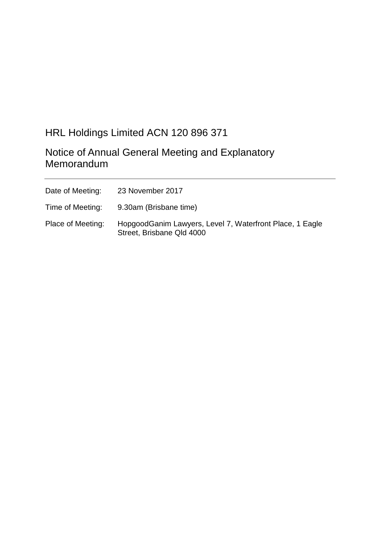# HRL Holdings Limited ACN 120 896 371

Notice of Annual General Meeting and Explanatory Memorandum

| Date of Meeting:  | 23 November 2017                                                                       |
|-------------------|----------------------------------------------------------------------------------------|
| Time of Meeting:  | 9.30am (Brisbane time)                                                                 |
| Place of Meeting: | Hopgood Ganim Lawyers, Level 7, Waterfront Place, 1 Eagle<br>Street, Brisbane Qld 4000 |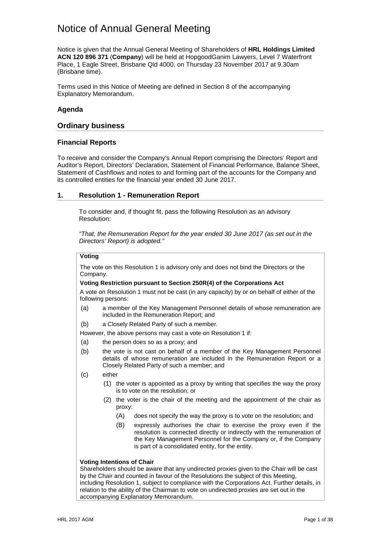# Notice of Annual General Meeting

Notice is given that the Annual General Meeting of Shareholders of **HRL Holdings Limited ACN 120 896 371** (**Company**) will be held at HopgoodGanim Lawyers, Level 7 Waterfront Place, 1 Eagle Street, Brisbane Qld 4000, on Thursday 23 November 2017 at 9.30am (Brisbane time).

Terms used in this Notice of Meeting are defined in Section [8](#page-19-0) of the accompanying Explanatory Memorandum.

## **Agenda**

### **Ordinary business**

### **Financial Reports**

To receive and consider the Company's Annual Report comprising the Directors' Report and Auditor's Report, Directors' Declaration, Statement of Financial Performance, Balance Sheet, Statement of Cashflows and notes to and forming part of the accounts for the Company and its controlled entities for the financial year ended 30 June 2017.

### **1. Resolution 1 - Remuneration Report**

To consider and, if thought fit, pass the following Resolution as an advisory Resolution:

*"That, the Remuneration Report for the year ended 30 June 2017 (as set out in the Directors' Report) is adopted."*

## **Voting**

The vote on this Resolution 1 is advisory only and does not bind the Directors or the Company.

### **Voting Restriction pursuant to Section 250R(4) of the Corporations Act**

A vote on Resolution 1 must not be cast (in any capacity) by or on behalf of either of the following persons:

(a) a member of the Key Management Personnel details of whose remuneration are included in the Remuneration Report; and

(b) a Closely Related Party of such a member.

However, the above persons may cast a vote on Resolution 1 if:

- (a) the person does so as a proxy; and
- (b) the vote is not cast on behalf of a member of the Key Management Personnel details of whose remuneration are included in the Remuneration Report or a Closely Related Party of such a member; and
- (c) either
	- (1) the voter is appointed as a proxy by writing that specifies the way the proxy is to vote on the resolution; or
	- (2) the voter is the chair of the meeting and the appointment of the chair as proxy:
		- (A) does not specify the way the proxy is to vote on the resolution; and
		- (B) expressly authorises the chair to exercise the proxy even if the resolution is connected directly or indirectly with the remuneration of the Key Management Personnel for the Company or, if the Company is part of a consolidated entity, for the entity.

#### **Voting Intentions of Chair**

Shareholders should be aware that any undirected proxies given to the Chair will be cast by the Chair and counted in favour of the Resolutions the subject of this Meeting, including Resolution 1, subject to compliance with the Corporations Act. Further details, in relation to the ability of the Chairman to vote on undirected proxies are set out in the accompanying Explanatory Memorandum.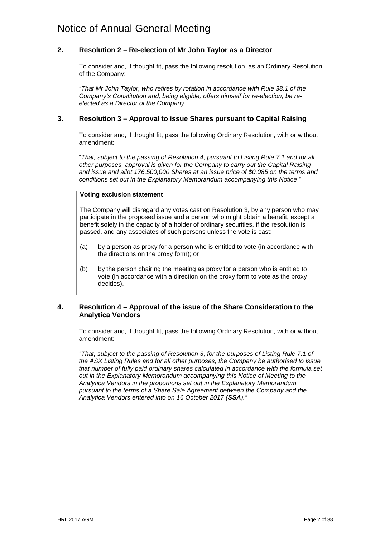## **2. Resolution 2 – Re-election of Mr John Taylor as a Director**

To consider and, if thought fit, pass the following resolution, as an Ordinary Resolution of the Company:

*"That Mr John Taylor, who retires by rotation in accordance with Rule 38.1 of the Company's Constitution and, being eligible, offers himself for re-election, be reelected as a Director of the Company."* 

### **3. Resolution 3 – Approval to issue Shares pursuant to Capital Raising**

To consider and, if thought fit, pass the following Ordinary Resolution, with or without amendment:

"*That, subject to the passing of Resolution 4, pursuant to Listing Rule 7.1 and for all other purposes, approval is given for the Company to carry out the Capital Raising and issue and allot 176,500,000 Shares at an issue price of \$0.085 on the terms and conditions set out in the Explanatory Memorandum accompanying this Notice* "

### **Voting exclusion statement**

The Company will disregard any votes cast on Resolution 3, by any person who may participate in the proposed issue and a person who might obtain a benefit, except a benefit solely in the capacity of a holder of ordinary securities, if the resolution is passed, and any associates of such persons unless the vote is cast:

- (a) by a person as proxy for a person who is entitled to vote (in accordance with the directions on the proxy form); or
- (b) by the person chairing the meeting as proxy for a person who is entitled to vote (in accordance with a direction on the proxy form to vote as the proxy decides).

## **4. Resolution 4 – Approval of the issue of the Share Consideration to the Analytica Vendors**

To consider and, if thought fit, pass the following Ordinary Resolution, with or without amendment:

*"That, subject to the passing of Resolution 3, for the purposes of Listing Rule 7.1 of the ASX Listing Rules and for all other purposes, the Company be authorised to issue that number of fully paid ordinary shares calculated in accordance with the formula set out in the Explanatory Memorandum accompanying this Notice of Meeting to the Analytica Vendors in the proportions set out in the Explanatory Memorandum pursuant to the terms of a Share Sale Agreement between the Company and the Analytica Vendors entered into on 16 October 2017 (SSA)."*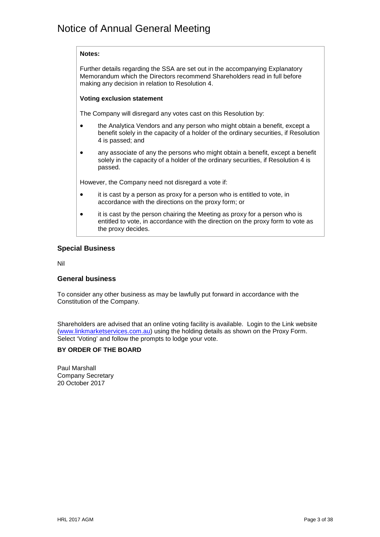### **Notes:**

Further details regarding the SSA are set out in the accompanying Explanatory Memorandum which the Directors recommend Shareholders read in full before making any decision in relation to Resolution 4.

### **Voting exclusion statement**

The Company will disregard any votes cast on this Resolution by:

- the Analytica Vendors and any person who might obtain a benefit, except a benefit solely in the capacity of a holder of the ordinary securities, if Resolution 4 is passed; and
- any associate of any the persons who might obtain a benefit, except a benefit solely in the capacity of a holder of the ordinary securities, if Resolution 4 is passed.

However, the Company need not disregard a vote if:

- it is cast by a person as proxy for a person who is entitled to vote, in accordance with the directions on the proxy form; or
- it is cast by the person chairing the Meeting as proxy for a person who is entitled to vote, in accordance with the direction on the proxy form to vote as the proxy decides.

## **Special Business**

Nil

### **General business**

To consider any other business as may be lawfully put forward in accordance with the Constitution of the Company.

Shareholders are advised that an online voting facility is available. Login to the Link website [\(www.linkmarketservices.com.au\)](http://www.linkmarketservices.com.au/) using the holding details as shown on the Proxy Form. Select 'Voting' and follow the prompts to lodge your vote.

### **BY ORDER OF THE BOARD**

Paul Marshall Company Secretary 20 October 2017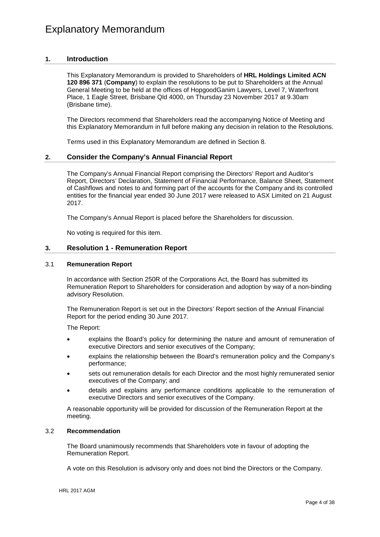### **1. Introduction**

This Explanatory Memorandum is provided to Shareholders of **HRL Holdings Limited ACN 120 896 371** (**Company**) to explain the resolutions to be put to Shareholders at the Annual General Meeting to be held at the offices of HopgoodGanim Lawyers, Level 7, Waterfront Place, 1 Eagle Street, Brisbane Qld 4000, on Thursday 23 November 2017 at 9.30am (Brisbane time).

The Directors recommend that Shareholders read the accompanying Notice of Meeting and this Explanatory Memorandum in full before making any decision in relation to the Resolutions.

Terms used in this Explanatory Memorandum are defined in Section [8.](#page-19-0)

### **2. Consider the Company's Annual Financial Report**

The Company's Annual Financial Report comprising the Directors' Report and Auditor's Report, Directors' Declaration, Statement of Financial Performance, Balance Sheet, Statement of Cashflows and notes to and forming part of the accounts for the Company and its controlled entities for the financial year ended 30 June 2017 were released to ASX Limited on 21 August 2017.

The Company's Annual Report is placed before the Shareholders for discussion.

No voting is required for this item.

### **3. Resolution 1 - Remuneration Report**

#### 3.1 **Remuneration Report**

In accordance with Section 250R of the Corporations Act, the Board has submitted its Remuneration Report to Shareholders for consideration and adoption by way of a non-binding advisory Resolution.

The Remuneration Report is set out in the Directors' Report section of the Annual Financial Report for the period ending 30 June 2017.

The Report:

- explains the Board's policy for determining the nature and amount of remuneration of executive Directors and senior executives of the Company;
- explains the relationship between the Board's remuneration policy and the Company's performance;
- sets out remuneration details for each Director and the most highly remunerated senior executives of the Company; and
- details and explains any performance conditions applicable to the remuneration of executive Directors and senior executives of the Company.

A reasonable opportunity will be provided for discussion of the Remuneration Report at the meeting.

#### 3.2 **Recommendation**

The Board unanimously recommends that Shareholders vote in favour of adopting the Remuneration Report.

A vote on this Resolution is advisory only and does not bind the Directors or the Company.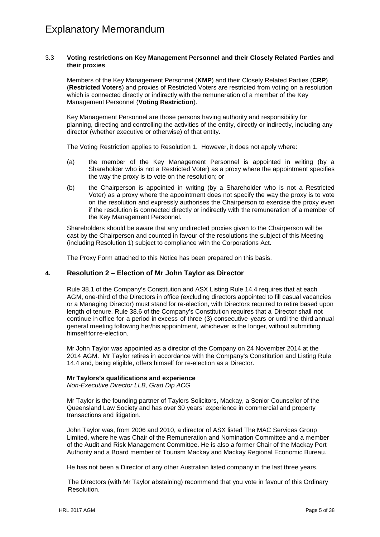#### 3.3 **Voting restrictions on Key Management Personnel and their Closely Related Parties and their proxies**

Members of the Key Management Personnel (**KMP**) and their Closely Related Parties (**CRP**) (**Restricted Voters**) and proxies of Restricted Voters are restricted from voting on a resolution which is connected directly or indirectly with the remuneration of a member of the Key Management Personnel (**Voting Restriction**).

Key Management Personnel are those persons having authority and responsibility for planning, directing and controlling the activities of the entity, directly or indirectly, including any director (whether executive or otherwise) of that entity.

The Voting Restriction applies to Resolution 1. However, it does not apply where:

- (a) the member of the Key Management Personnel is appointed in writing (by a Shareholder who is not a Restricted Voter) as a proxy where the appointment specifies the way the proxy is to vote on the resolution; or
- (b) the Chairperson is appointed in writing (by a Shareholder who is not a Restricted Voter) as a proxy where the appointment does not specify the way the proxy is to vote on the resolution and expressly authorises the Chairperson to exercise the proxy even if the resolution is connected directly or indirectly with the remuneration of a member of the Key Management Personnel.

Shareholders should be aware that any undirected proxies given to the Chairperson will be cast by the Chairperson and counted in favour of the resolutions the subject of this Meeting (including Resolution 1) subject to compliance with the Corporations Act.

The Proxy Form attached to this Notice has been prepared on this basis.

## **4. Resolution 2 – Election of Mr John Taylor as Director**

Rule 38.1 of the Company's Constitution and ASX Listing Rule 14.4 requires that at each AGM, one-third of the Directors in office (excluding directors appointed to fill casual vacancies or a Managing Director) must stand for re-election, with Directors required to retire based upon length of tenure. Rule 38.6 of the Company's Constitution requires that a Director shall not continue in office for a period in excess of three (3) consecutive years or until the third annual general meeting following her/his appointment, whichever is the longer, without submitting himself for re-election.

Mr John Taylor was appointed as a director of the Company on 24 November 2014 at the 2014 AGM. Mr Taylor retires in accordance with the Company's Constitution and Listing Rule 14.4 and, being eligible, offers himself for re-election as a Director.

#### **Mr Taylors's qualifications and experience**

*Non-Executive Director LLB, Grad Dip ACG*

Mr Taylor is the founding partner of Taylors Solicitors, Mackay, a Senior Counsellor of the Queensland Law Society and has over 30 years' experience in commercial and property transactions and litigation.

John Taylor was, from 2006 and 2010, a director of ASX listed The MAC Services Group Limited, where he was Chair of the Remuneration and Nomination Committee and a member of the Audit and Risk Management Committee. He is also a former Chair of the Mackay Port Authority and a Board member of Tourism Mackay and Mackay Regional Economic Bureau.

He has not been a Director of any other Australian listed company in the last three years.

The Directors (with Mr Taylor abstaining) recommend that you vote in favour of this Ordinary Resolution.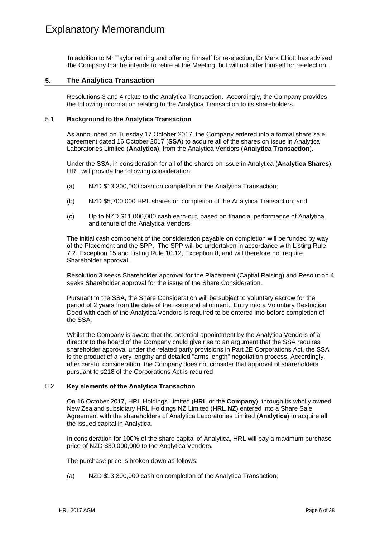In addition to Mr Taylor retiring and offering himself for re-election, Dr Mark Elliott has advised the Company that he intends to retire at the Meeting, but will not offer himself for re-election.

### **5. The Analytica Transaction**

Resolutions 3 and 4 relate to the Analytica Transaction. Accordingly, the Company provides the following information relating to the Analytica Transaction to its shareholders.

#### 5.1 **Background to the Analytica Transaction**

As announced on Tuesday 17 October 2017, the Company entered into a formal share sale agreement dated 16 October 2017 (**SSA**) to acquire all of the shares on issue in Analytica Laboratories Limited (**Analytica**), from the Analytica Vendors (**Analytica Transaction**).

Under the SSA, in consideration for all of the shares on issue in Analytica (**Analytica Shares**), HRL will provide the following consideration:

- (a) NZD \$13,300,000 cash on completion of the Analytica Transaction;
- (b) NZD \$5,700,000 HRL shares on completion of the Analytica Transaction; and
- (c) Up to NZD \$11,000,000 cash earn-out, based on financial performance of Analytica and tenure of the Analytica Vendors.

The initial cash component of the consideration payable on completion will be funded by way of the Placement and the SPP. The SPP will be undertaken in accordance with Listing Rule 7.2. Exception 15 and Listing Rule 10.12, Exception 8, and will therefore not require Shareholder approval.

Resolution 3 seeks Shareholder approval for the Placement (Capital Raising) and Resolution 4 seeks Shareholder approval for the issue of the Share Consideration.

Pursuant to the SSA, the Share Consideration will be subject to voluntary escrow for the period of 2 years from the date of the issue and allotment. Entry into a Voluntary Restriction Deed with each of the Analytica Vendors is required to be entered into before completion of the SSA.

Whilst the Company is aware that the potential appointment by the Analytica Vendors of a director to the board of the Company could give rise to an argument that the SSA requires shareholder approval under the related party provisions in Part 2E Corporations Act, the SSA is the product of a very lengthy and detailed "arms length" negotiation process. Accordingly, after careful consideration, the Company does not consider that approval of shareholders pursuant to s218 of the Corporations Act is required

#### 5.2 **Key elements of the Analytica Transaction**

On 16 October 2017, HRL Holdings Limited (**HRL** or the **Company**), through its wholly owned New Zealand subsidiary HRL Holdings NZ Limited (**HRL NZ**) entered into a Share Sale Agreement with the shareholders of Analytica Laboratories Limited (**Analytica**) to acquire all the issued capital in Analytica.

In consideration for 100% of the share capital of Analytica, HRL will pay a maximum purchase price of NZD \$30,000,000 to the Analytica Vendors.

The purchase price is broken down as follows:

(a) NZD \$13,300,000 cash on completion of the Analytica Transaction;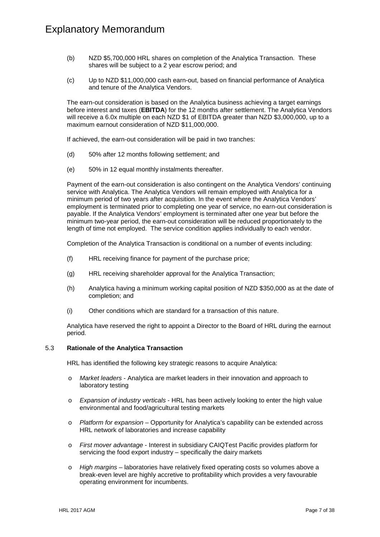- (b) NZD \$5,700,000 HRL shares on completion of the Analytica Transaction. These shares will be subject to a 2 year escrow period; and
- (c) Up to NZD \$11,000,000 cash earn-out, based on financial performance of Analytica and tenure of the Analytica Vendors.

The earn-out consideration is based on the Analytica business achieving a target earnings before interest and taxes (**EBITDA**) for the 12 months after settlement. The Analytica Vendors will receive a 6.0x multiple on each NZD \$1 of EBITDA greater than NZD \$3,000,000, up to a maximum earnout consideration of NZD \$11,000,000.

If achieved, the earn-out consideration will be paid in two tranches:

- (d) 50% after 12 months following settlement; and
- (e) 50% in 12 equal monthly instalments thereafter.

Payment of the earn-out consideration is also contingent on the Analytica Vendors' continuing service with Analytica. The Analytica Vendors will remain employed with Analytica for a minimum period of two years after acquisition. In the event where the Analytica Vendors' employment is terminated prior to completing one year of service, no earn-out consideration is payable. If the Analytica Vendors' employment is terminated after one year but before the minimum two-year period, the earn-out consideration will be reduced proportionately to the length of time not employed. The service condition applies individually to each vendor.

Completion of the Analytica Transaction is conditional on a number of events including:

- (f) HRL receiving finance for payment of the purchase price;
- (g) HRL receiving shareholder approval for the Analytica Transaction;
- (h) Analytica having a minimum working capital position of NZD \$350,000 as at the date of completion; and
- (i) Other conditions which are standard for a transaction of this nature.

Analytica have reserved the right to appoint a Director to the Board of HRL during the earnout period.

#### 5.3 **Rationale of the Analytica Transaction**

HRL has identified the following key strategic reasons to acquire Analytica:

- o *Market leaders* Analytica are market leaders in their innovation and approach to laboratory testing
- o *Expansion of industry verticals* HRL has been actively looking to enter the high value environmental and food/agricultural testing markets
- o *Platform for expansion* Opportunity for Analytica's capability can be extended across HRL network of laboratories and increase capability
- o *First mover advantage* Interest in subsidiary CAIQTest Pacific provides platform for servicing the food export industry – specifically the dairy markets
- o *High margins* laboratories have relatively fixed operating costs so volumes above a break-even level are highly accretive to profitability which provides a very favourable operating environment for incumbents.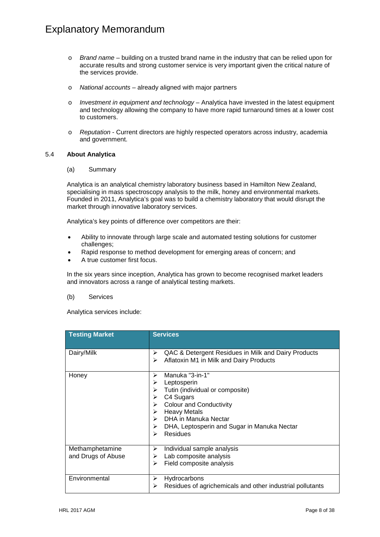- o *Brand name* building on a trusted brand name in the industry that can be relied upon for accurate results and strong customer service is very important given the critical nature of the services provide.
- o *National accounts* already aligned with major partners
- o *Investment in equipment and technology* Analytica have invested in the latest equipment and technology allowing the company to have more rapid turnaround times at a lower cost to customers.
- o *Reputation* Current directors are highly respected operators across industry, academia and government.

#### 5.4 **About Analytica**

(a) Summary

Analytica is an analytical chemistry laboratory business based in Hamilton New Zealand, specialising in mass spectroscopy analysis to the milk, honey and environmental markets. Founded in 2011, Analytica's goal was to build a chemistry laboratory that would disrupt the market through innovative laboratory services.

Analytica's key points of difference over competitors are their:

- Ability to innovate through large scale and automated testing solutions for customer challenges;
- Rapid response to method development for emerging areas of concern; and
- A true customer first focus.

In the six years since inception, Analytica has grown to become recognised market leaders and innovators across a range of analytical testing markets.

#### (b) Services

Analytica services include:

| <b>Testing Market</b>                 | <b>Services</b>                                                                                                                                                                                                                                                                |
|---------------------------------------|--------------------------------------------------------------------------------------------------------------------------------------------------------------------------------------------------------------------------------------------------------------------------------|
| Dairy/Milk                            | QAC & Detergent Residues in Milk and Dairy Products<br>➤<br>Aflatoxin M1 in Milk and Dairy Products<br>➤                                                                                                                                                                       |
| Honey                                 | Manuka "3-in-1"<br>➤<br>Leptosperin<br>⋗<br>Tutin (individual or composite)<br>⋗<br>C4 Sugars<br>≻<br><b>Colour and Conductivity</b><br>➤<br><b>Heavy Metals</b><br>➤<br>DHA in Manuka Nectar<br>⋗<br>DHA, Leptosperin and Sugar in Manuka Nectar<br>➤<br><b>Residues</b><br>⋗ |
| Methamphetamine<br>and Drugs of Abuse | Individual sample analysis<br>≻<br>Lab composite analysis<br>➤<br>Field composite analysis<br>⋗                                                                                                                                                                                |
| Environmental                         | Hydrocarbons<br>➤<br>Residues of agrichemicals and other industrial pollutants<br>➤                                                                                                                                                                                            |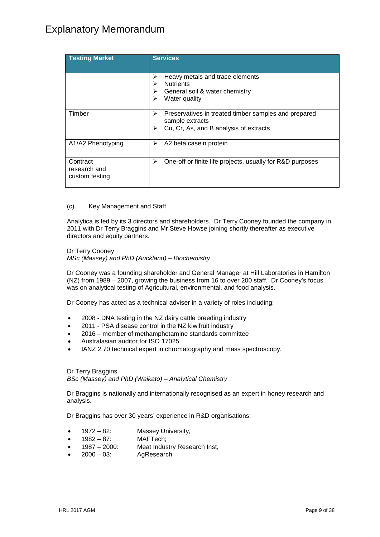| <b>Testing Market</b>                      | <b>Services</b>                                                                                                             |
|--------------------------------------------|-----------------------------------------------------------------------------------------------------------------------------|
|                                            | Heavy metals and trace elements<br>⋗<br><b>Nutrients</b><br>⋗<br>General soil & water chemistry<br>⋗<br>Water quality<br>≻  |
| Timber                                     | Preservatives in treated timber samples and prepared<br>⋗<br>sample extracts<br>Cu, Cr, As, and B analysis of extracts<br>⋗ |
| A1/A2 Phenotyping                          | A2 beta casein protein<br>⋗                                                                                                 |
| Contract<br>research and<br>custom testing | One-off or finite life projects, usually for R&D purposes<br>≻                                                              |

#### (c) Key Management and Staff

Analytica is led by its 3 directors and shareholders. Dr Terry Cooney founded the company in 2011 with Dr Terry Braggins and Mr Steve Howse joining shortly thereafter as executive directors and equity partners.

Dr Terry Cooney *MSc (Massey) and PhD (Auckland) – Biochemistry*

Dr Cooney was a founding shareholder and General Manager at Hill Laboratories in Hamilton (NZ) from 1989 – 2007, growing the business from 16 to over 200 staff. Dr Cooney's focus was on analytical testing of Agricultural, environmental, and food analysis.

Dr Cooney has acted as a technical adviser in a variety of roles including:

- 2008 DNA testing in the NZ dairy cattle breeding industry
- 2011 PSA disease control in the NZ kiwifruit industry
- 2016 member of methamphetamine standards committee
- Australasian auditor for ISO 17025
- IANZ 2.70 technical expert in chromatography and mass spectroscopy.

Dr Terry Braggins *BSc (Massey) and PhD (Waikato) – Analytical Chemistry*

Dr Braggins is nationally and internationally recognised as an expert in honey research and analysis.

Dr Braggins has over 30 years' experience in R&D organisations:

- 1972 82: Massey University,
- 1982 87: MAFTech;
- 1987 2000: Meat Industry Research Inst,
- $2000 03$ : AgResearch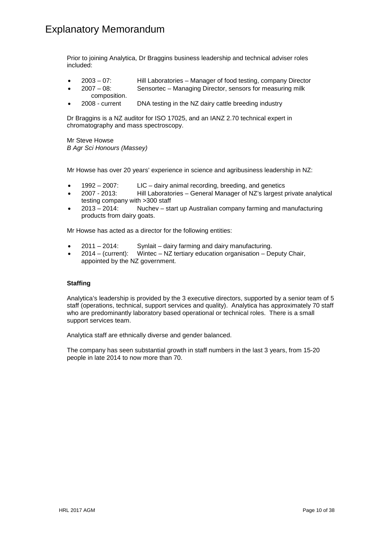Prior to joining Analytica, Dr Braggins business leadership and technical adviser roles included:

- 2003 07: Hill Laboratories Manager of food testing, company Director
- 2007 08: Sensortec Managing Director, sensors for measuring milk
- composition. • 2008 - current DNA testing in the NZ dairy cattle breeding industry

Dr Braggins is a NZ auditor for ISO 17025, and an IANZ 2.70 technical expert in chromatography and mass spectroscopy.

Mr Steve Howse *B Agr Sci Honours (Massey)*

Mr Howse has over 20 years' experience in science and agribusiness leadership in NZ:

- 1992 2007: LIC dairy animal recording, breeding, and genetics
- 2007 2013: Hill Laboratories General Manager of NZ's largest private analytical testing company with >300 staff
- 2013 2014: Nuchev start up Australian company farming and manufacturing products from dairy goats.

Mr Howse has acted as a director for the following entities:

- 2011 2014: Synlait dairy farming and dairy manufacturing.
- 2014 (current): Wintec NZ tertiary education organisation Deputy Chair, appointed by the NZ government.

### **Staffing**

Analytica's leadership is provided by the 3 executive directors, supported by a senior team of 5 staff (operations, technical, support services and quality). Analytica has approximately 70 staff who are predominantly laboratory based operational or technical roles. There is a small support services team.

Analytica staff are ethnically diverse and gender balanced.

The company has seen substantial growth in staff numbers in the last 3 years, from 15-20 people in late 2014 to now more than 70.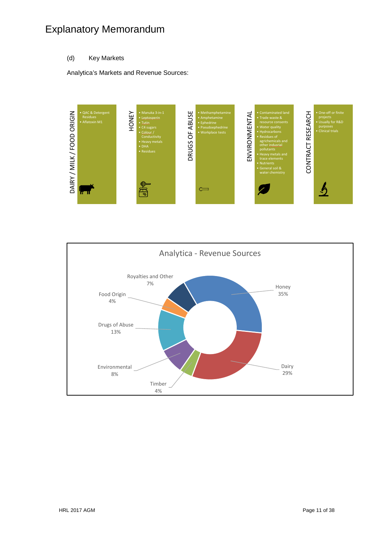### (d) Key Markets

Analytica's Markets and Revenue Sources:



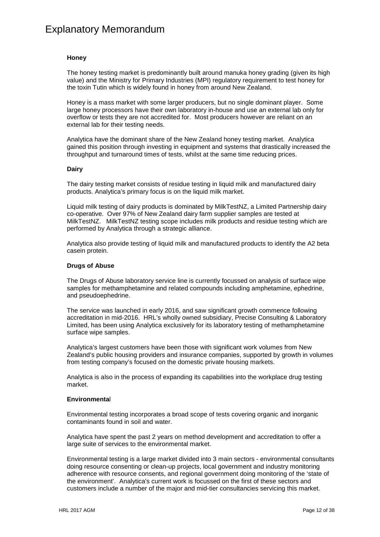#### **Honey**

The honey testing market is predominantly built around manuka honey grading (given its high value) and the Ministry for Primary Industries (MPI) regulatory requirement to test honey for the toxin Tutin which is widely found in honey from around New Zealand.

Honey is a mass market with some larger producers, but no single dominant player. Some large honey processors have their own laboratory in-house and use an external lab only for overflow or tests they are not accredited for. Most producers however are reliant on an external lab for their testing needs.

Analytica have the dominant share of the New Zealand honey testing market. Analytica gained this position through investing in equipment and systems that drastically increased the throughput and turnaround times of tests, whilst at the same time reducing prices.

#### **Dairy**

The dairy testing market consists of residue testing in liquid milk and manufactured dairy products. Analytica's primary focus is on the liquid milk market.

Liquid milk testing of dairy products is dominated by MilkTestNZ, a Limited Partnership dairy co-operative. Over 97% of New Zealand dairy farm supplier samples are tested at MilkTestNZ. MilkTestNZ testing scope includes milk products and residue testing which are performed by Analytica through a strategic alliance.

Analytica also provide testing of liquid milk and manufactured products to identify the A2 beta casein protein.

#### **Drugs of Abuse**

The Drugs of Abuse laboratory service line is currently focussed on analysis of surface wipe samples for methamphetamine and related compounds including amphetamine, ephedrine, and pseudoephedrine.

The service was launched in early 2016, and saw significant growth commence following accreditation in mid-2016. HRL's wholly owned subsidiary, Precise Consulting & Laboratory Limited, has been using Analytica exclusively for its laboratory testing of methamphetamine surface wipe samples.

Analytica's largest customers have been those with significant work volumes from New Zealand's public housing providers and insurance companies, supported by growth in volumes from testing company's focused on the domestic private housing markets.

Analytica is also in the process of expanding its capabilities into the workplace drug testing market.

#### **Environmenta**l

Environmental testing incorporates a broad scope of tests covering organic and inorganic contaminants found in soil and water.

Analytica have spent the past 2 years on method development and accreditation to offer a large suite of services to the environmental market.

Environmental testing is a large market divided into 3 main sectors - environmental consultants doing resource consenting or clean-up projects, local government and industry monitoring adherence with resource consents, and regional government doing monitoring of the 'state of the environment'. Analytica's current work is focussed on the first of these sectors and customers include a number of the major and mid-tier consultancies servicing this market.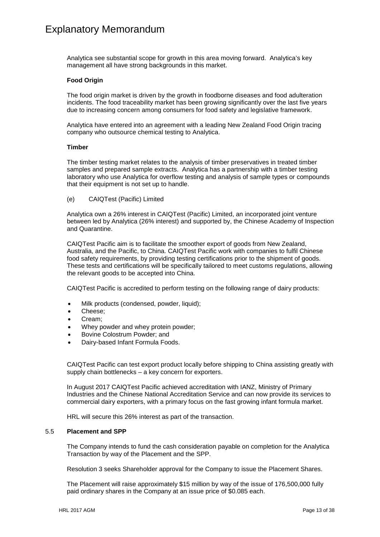Analytica see substantial scope for growth in this area moving forward. Analytica's key management all have strong backgrounds in this market.

#### **Food Origin**

The food origin market is driven by the growth in foodborne diseases and food adulteration incidents. The food traceability market has been growing significantly over the last five years due to increasing concern among consumers for food safety and legislative framework.

Analytica have entered into an agreement with a leading New Zealand Food Origin tracing company who outsource chemical testing to Analytica.

#### **Timber**

The timber testing market relates to the analysis of timber preservatives in treated timber samples and prepared sample extracts. Analytica has a partnership with a timber testing laboratory who use Analytica for overflow testing and analysis of sample types or compounds that their equipment is not set up to handle.

(e) CAIQTest (Pacific) Limited

Analytica own a 26% interest in CAIQTest (Pacific) Limited, an incorporated joint venture between led by Analytica (26% interest) and supported by, the Chinese Academy of Inspection and Quarantine.

CAIQTest Pacific aim is to facilitate the smoother export of goods from New Zealand, Australia, and the Pacific, to China. CAIQTest Pacific work with companies to fulfil Chinese food safety requirements, by providing testing certifications prior to the shipment of goods. These tests and certifications will be specifically tailored to meet customs regulations, allowing the relevant goods to be accepted into China.

CAIQTest Pacific is accredited to perform testing on the following range of dairy products:

- Milk products (condensed, powder, liquid);
- Cheese;
- Cream;
- Whey powder and whey protein powder:
- Bovine Colostrum Powder; and
- Dairy-based Infant Formula Foods.

CAIQTest Pacific can test export product locally before shipping to China assisting greatly with supply chain bottlenecks – a key concern for exporters.

In August 2017 CAIQTest Pacific achieved accreditation with IANZ, Ministry of Primary Industries and the Chinese National Accreditation Service and can now provide its services to commercial dairy exporters, with a primary focus on the fast growing infant formula market.

HRL will secure this 26% interest as part of the transaction.

#### <span id="page-14-0"></span>5.5 **Placement and SPP**

The Company intends to fund the cash consideration payable on completion for the Analytica Transaction by way of the Placement and the SPP.

Resolution 3 seeks Shareholder approval for the Company to issue the Placement Shares.

The Placement will raise approximately \$15 million by way of the issue of 176,500,000 fully paid ordinary shares in the Company at an issue price of \$0.085 each.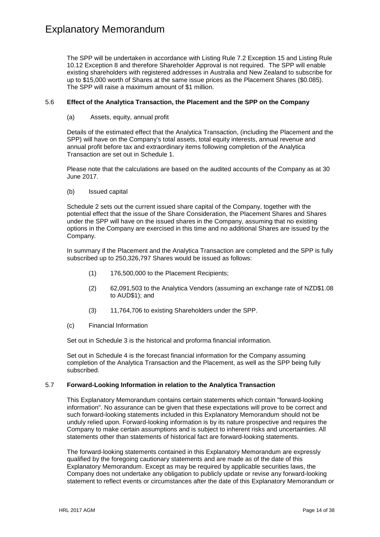The SPP will be undertaken in accordance with Listing Rule 7.2 Exception 15 and Listing Rule 10.12 Exception 8 and therefore Shareholder Approval is not required. The SPP will enable existing shareholders with registered addresses in Australia and New Zealand to subscribe for up to \$15,000 worth of Shares at the same issue prices as the Placement Shares (\$0.085). The SPP will raise a maximum amount of \$1 million.

#### 5.6 **Effect of the Analytica Transaction, the Placement and the SPP on the Company**

### (a) Assets, equity, annual profit

Details of the estimated effect that the Analytica Transaction, (including the Placement and the SPP) will have on the Company's total assets, total equity interests, annual revenue and annual profit before tax and extraordinary items following completion of the Analytica Transaction are set out in [Schedule 1.](#page-21-0)

Please note that the calculations are based on the audited accounts of the Company as at 30 June 2017.

(b) Issued capital

[Schedule 2](#page-22-0) sets out the current issued share capital of the Company, together with the potential effect that the issue of the Share Consideration, the Placement Shares and Shares under the SPP will have on the issued shares in the Company, assuming that no existing options in the Company are exercised in this time and no additional Shares are issued by the Company.

In summary if the Placement and the Analytica Transaction are completed and the SPP is fully subscribed up to 250,326,797 Shares would be issued as follows:

- (1) 176,500,000 to the Placement Recipients;
- (2) 62,091,503 to the Analytica Vendors (assuming an exchange rate of NZD\$1.08 to AUD\$1); and
- (3) 11,764,706 to existing Shareholders under the SPP.
- (c) Financial Information

Set out in [Schedule 3](#page-23-0) is the historical and proforma financial information.

Set out in [Schedule 4](#page-30-0) is the forecast financial information for the Company assuming completion of the Analytica Transaction and the Placement, as well as the SPP being fully subscribed.

#### 5.7 **Forward-Looking Information in relation to the Analytica Transaction**

This Explanatory Memorandum contains certain statements which contain "forward-looking information". No assurance can be given that these expectations will prove to be correct and such forward-looking statements included in this Explanatory Memorandum should not be unduly relied upon. Forward-looking information is by its nature prospective and requires the Company to make certain assumptions and is subject to inherent risks and uncertainties. All statements other than statements of historical fact are forward-looking statements.

The forward-looking statements contained in this Explanatory Memorandum are expressly qualified by the foregoing cautionary statements and are made as of the date of this Explanatory Memorandum. Except as may be required by applicable securities laws, the Company does not undertake any obligation to publicly update or revise any forward-looking statement to reflect events or circumstances after the date of this Explanatory Memorandum or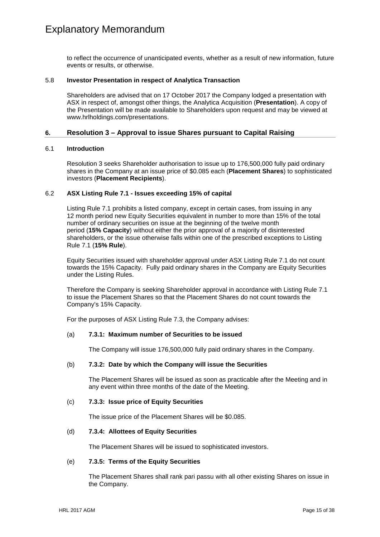to reflect the occurrence of unanticipated events, whether as a result of new information, future events or results, or otherwise.

#### 5.8 **Investor Presentation in respect of Analytica Transaction**

Shareholders are advised that on 17 October 2017 the Company lodged a presentation with ASX in respect of, amongst other things, the Analytica Acquisition (**Presentation**). A copy of the Presentation will be made available to Shareholders upon request and may be viewed at www.hrlholdings.com/presentations.

### **6. Resolution 3 – Approval to issue Shares pursuant to Capital Raising**

#### 6.1 **Introduction**

Resolution 3 seeks Shareholder authorisation to issue up to 176,500,000 fully paid ordinary shares in the Company at an issue price of \$0.085 each (**Placement Shares**) to sophisticated investors (**Placement Recipients**).

### 6.2 **ASX Listing Rule 7.1 - Issues exceeding 15% of capital**

Listing Rule 7.1 prohibits a listed company, except in certain cases, from issuing in any 12 month period new Equity Securities equivalent in number to more than 15% of the total number of ordinary securities on issue at the beginning of the twelve month period (**15% Capacity**) without either the prior approval of a majority of disinterested shareholders, or the issue otherwise falls within one of the prescribed exceptions to Listing Rule 7.1 (**15% Rule**).

Equity Securities issued with shareholder approval under ASX Listing Rule 7.1 do not count towards the 15% Capacity. Fully paid ordinary shares in the Company are Equity Securities under the Listing Rules.

Therefore the Company is seeking Shareholder approval in accordance with Listing Rule 7.1 to issue the Placement Shares so that the Placement Shares do not count towards the Company's 15% Capacity.

For the purposes of ASX Listing Rule 7.3, the Company advises:

#### (a) **7.3.1: Maximum number of Securities to be issued**

The Company will issue 176,500,000 fully paid ordinary shares in the Company.

#### (b) **7.3.2: Date by which the Company will issue the Securities**

The Placement Shares will be issued as soon as practicable after the Meeting and in any event within three months of the date of the Meeting.

#### (c) **7.3.3: Issue price of Equity Securities**

The issue price of the Placement Shares will be \$0.085.

#### (d) **7.3.4: Allottees of Equity Securities**

The Placement Shares will be issued to sophisticated investors.

#### (e) **7.3.5: Terms of the Equity Securities**

The Placement Shares shall rank pari passu with all other existing Shares on issue in the Company.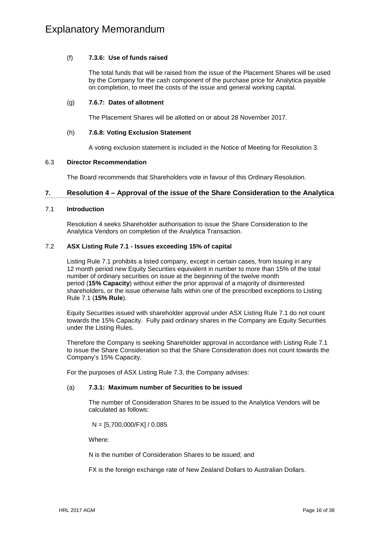### (f) **7.3.6: Use of funds raised**

The total funds that will be raised from the issue of the Placement Shares will be used by the Company for the cash component of the purchase price for Analytica payable on completion, to meet the costs of the issue and general working capital.

### (g) **7.6.7: Dates of allotment**

The Placement Shares will be allotted on or about 28 November 2017.

### (h) **7.6.8: Voting Exclusion Statement**

A voting exclusion statement is included in the Notice of Meeting for Resolution 3.

### 6.3 **Director Recommendation**

The Board recommends that Shareholders vote in favour of this Ordinary Resolution.

### **7. Resolution 4 – Approval of the issue of the Share Consideration to the Analytica**

### 7.1 **Introduction**

Resolution 4 seeks Shareholder authorisation to issue the Share Consideration to the Analytica Vendors on completion of the Analytica Transaction.

### 7.2 **ASX Listing Rule 7.1 - Issues exceeding 15% of capital**

Listing Rule 7.1 prohibits a listed company, except in certain cases, from issuing in any 12 month period new Equity Securities equivalent in number to more than 15% of the total number of ordinary securities on issue at the beginning of the twelve month period (**15% Capacity**) without either the prior approval of a majority of disinterested shareholders, or the issue otherwise falls within one of the prescribed exceptions to Listing Rule 7.1 (**15% Rule**).

Equity Securities issued with shareholder approval under ASX Listing Rule 7.1 do not count towards the 15% Capacity. Fully paid ordinary shares in the Company are Equity Securities under the Listing Rules.

Therefore the Company is seeking Shareholder approval in accordance with Listing Rule 7.1 to issue the Share Consideration so that the Share Consideration does not count towards the Company's 15% Capacity.

For the purposes of ASX Listing Rule 7.3, the Company advises:

### (a) **7.3.1: Maximum number of Securities to be issued**

The number of Consideration Shares to be issued to the Analytica Vendors will be calculated as follows:

N = [5,700,000/FX] / 0.085

Where:

N is the number of Consideration Shares to be issued; and

FX is the foreign exchange rate of New Zealand Dollars to Australian Dollars.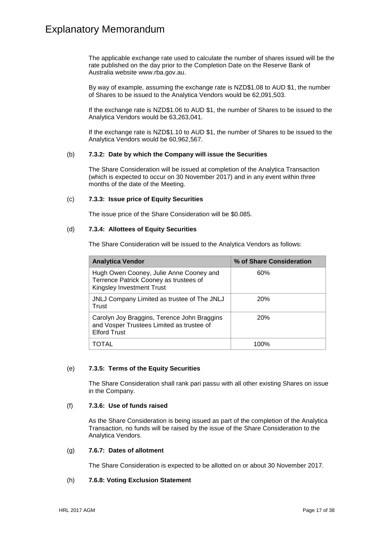The applicable exchange rate used to calculate the number of shares issued will be the rate published on the day prior to the Completion Date on the Reserve Bank of Australia website [www.rba.gov.au.](http://www.rba.gov.au/)

By way of example, assuming the exchange rate is NZD\$1.08 to AUD \$1, the number of Shares to be issued to the Analytica Vendors would be 62,091,503.

If the exchange rate is NZD\$1.06 to AUD \$1, the number of Shares to be issued to the Analytica Vendors would be 63,263,041.

If the exchange rate is NZD\$1.10 to AUD \$1, the number of Shares to be issued to the Analytica Vendors would be 60,962,567.

#### (b) **7.3.2: Date by which the Company will issue the Securities**

The Share Consideration will be issued at completion of the Analytica Transaction (which is expected to occur on 30 November 2017) and in any event within three months of the date of the Meeting.

#### (c) **7.3.3: Issue price of Equity Securities**

The issue price of the Share Consideration will be \$0.085.

#### (d) **7.3.4: Allottees of Equity Securities**

The Share Consideration will be issued to the Analytica Vendors as follows:

| <b>Analytica Vendor</b>                                                                                               | % of Share Consideration |
|-----------------------------------------------------------------------------------------------------------------------|--------------------------|
| Hugh Owen Cooney, Julie Anne Cooney and<br>Terrence Patrick Cooney as trustees of<br><b>Kingsley Investment Trust</b> | 60%                      |
| JNLJ Company Limited as trustee of The JNLJ<br>Trust                                                                  | 20%                      |
| Carolyn Joy Braggins, Terence John Braggins<br>and Vosper Trustees Limited as trustee of<br><b>Elford Trust</b>       | <b>20%</b>               |
| TOTAL                                                                                                                 | 100%                     |

#### (e) **7.3.5: Terms of the Equity Securities**

The Share Consideration shall rank pari passu with all other existing Shares on issue in the Company.

#### (f) **7.3.6: Use of funds raised**

As the Share Consideration is being issued as part of the completion of the Analytica Transaction, no funds will be raised by the issue of the Share Consideration to the Analytica Vendors.

### (g) **7.6.7: Dates of allotment**

The Share Consideration is expected to be allotted on or about 30 November 2017.

#### (h) **7.6.8: Voting Exclusion Statement**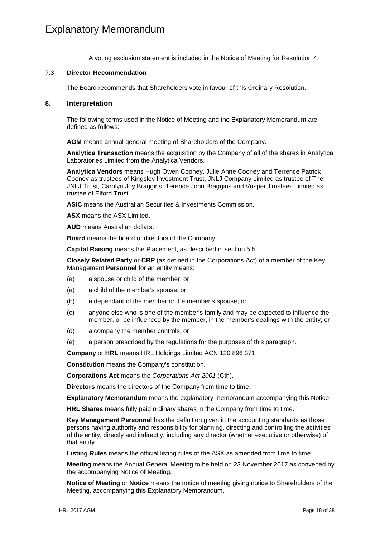A voting exclusion statement is included in the Notice of Meeting for Resolution 4.

#### 7.3 **Director Recommendation**

The Board recommends that Shareholders vote in favour of this Ordinary Resolution.

#### <span id="page-19-0"></span>**8. Interpretation**

The following terms used in the Notice of Meeting and the Explanatory Memorandum are defined as follows:

**AGM** means annual general meeting of Shareholders of the Company.

**Analytica Transaction** means the acquisition by the Company of all of the shares in Analytica Laboratories Limited from the Analytica Vendors.

**Analytica Vendors** means Hugh Owen Cooney, Julie Anne Cooney and Terrence Patrick Cooney as trustees of Kingsley Investment Trust, JNLJ Company Limited as trustee of The JNLJ Trust, Carolyn Joy Braggins, Terence John Braggins and Vosper Trustees Limited as trustee of Elford Trust.

**ASIC** means the Australian Securities & Investments Commission.

**ASX** means the ASX Limited.

**AUD** means Australian dollars.

**Board** means the board of directors of the Company.

**Capital Raising** means the Placement, as described in section [5.5.](#page-14-0)

**Closely Related Party** or **CRP** (as defined in the Corporations Act) of a member of the Key Management **Personnel** for an entity means:

- (a) a spouse or child of the member; or
- (a) a child of the member's spouse; or
- (b) a dependant of the member or the member's spouse; or
- (c) anyone else who is one of the member's family and may be expected to influence the member, or be influenced by the member, in the member's dealings with the entity; or
- (d) a company the member controls; or
- (e) a person prescribed by the regulations for the purposes of this paragraph.

**Company** or **HRL** means HRL Holdings Limited ACN 120 896 371.

**Constitution** means the Company's constitution.

**Corporations Act** means the *Corporations Act 2001* (Cth).

**Directors** means the directors of the Company from time to time.

**Explanatory Memorandum** means the explanatory memorandum accompanying this Notice;

**HRL Shares** means fully paid ordinary shares in the Company from time to time.

**Key Management Personnel** has the definition given in the accounting standards as those persons having authority and responsibility for planning, directing and controlling the activities of the entity, directly and indirectly, including any director (whether executive or otherwise) of that entity.

**Listing Rules** means the official listing rules of the ASX as amended from time to time.

**Meeting** means the Annual General Meeting to be held on 23 November 2017 as convened by the accompanying Notice of Meeting.

**Notice of Meeting** or **Notice** means the notice of meeting giving notice to Shareholders of the Meeting, accompanying this Explanatory Memorandum.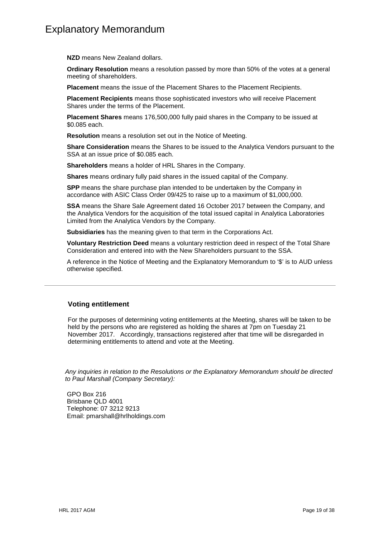**NZD** means New Zealand dollars.

**Ordinary Resolution** means a resolution passed by more than 50% of the votes at a general meeting of shareholders.

**Placement** means the issue of the Placement Shares to the Placement Recipients.

**Placement Recipients** means those sophisticated investors who will receive Placement Shares under the terms of the Placement.

**Placement Shares** means 176,500,000 fully paid shares in the Company to be issued at \$0.085 each.

**Resolution** means a resolution set out in the Notice of Meeting.

**Share Consideration** means the Shares to be issued to the Analytica Vendors pursuant to the SSA at an issue price of \$0.085 each.

**Shareholders** means a holder of HRL Shares in the Company.

**Shares** means ordinary fully paid shares in the issued capital of the Company.

**SPP** means the share purchase plan intended to be undertaken by the Company in accordance with ASIC Class Order 09/425 to raise up to a maximum of \$1,000,000.

**SSA** means the Share Sale Agreement dated 16 October 2017 between the Company, and the Analytica Vendors for the acquisition of the total issued capital in Analytica Laboratories Limited from the Analytica Vendors by the Company.

**Subsidiaries** has the meaning given to that term in the Corporations Act.

**Voluntary Restriction Deed** means a voluntary restriction deed in respect of the Total Share Consideration and entered into with the New Shareholders pursuant to the SSA.

A reference in the Notice of Meeting and the Explanatory Memorandum to '\$' is to AUD unless otherwise specified.

### **Voting entitlement**

For the purposes of determining voting entitlements at the Meeting, shares will be taken to be held by the persons who are registered as holding the shares at 7pm on Tuesday 21 November 2017. Accordingly, transactions registered after that time will be disregarded in determining entitlements to attend and vote at the Meeting.

*Any inquiries in relation to the Resolutions or the Explanatory Memorandum should be directed to Paul Marshall (Company Secretary):*

GPO Box 216 Brisbane QLD 4001 Telephone: 07 3212 9213 Email: pmarshall@hrlholdings.com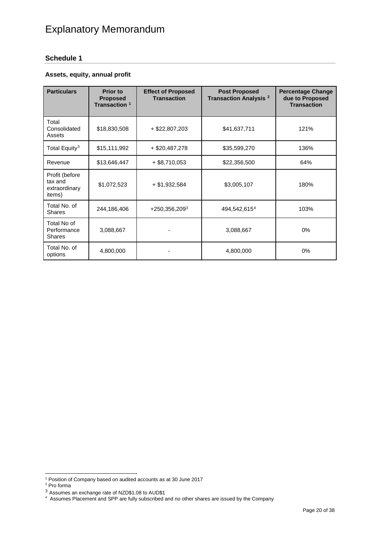# <span id="page-21-0"></span>**Schedule 1**

# **Assets, equity, annual profit**

| <b>Particulars</b>                                   | <b>Prior to</b><br><b>Proposed</b><br>Transaction <sup>1</sup> | <b>Effect of Proposed</b><br><b>Transaction</b> | <b>Post Proposed</b><br>Transaction Analysis <sup>2</sup> | <b>Percentage Change</b><br>due to Proposed<br><b>Transaction</b> |
|------------------------------------------------------|----------------------------------------------------------------|-------------------------------------------------|-----------------------------------------------------------|-------------------------------------------------------------------|
| Total<br>Consolidated<br>Assets                      | \$18,830,508                                                   | $+$ \$22,807,203                                | \$41,637,711                                              | 121%                                                              |
| Total Equity <sup>3</sup>                            | \$15,111,992                                                   | $+$ \$20,487,278                                | \$35,599,270                                              | 136%                                                              |
| Revenue                                              | \$13,646,447                                                   | $+$ \$8,710,053                                 | \$22,356,500                                              | 64%                                                               |
| Profit (before<br>tax and<br>extraordinary<br>items) | \$1,072,523                                                    | $+ $1,932,584$                                  | \$3,005,107                                               | 180%                                                              |
| Total No. of<br><b>Shares</b>                        | 244,186,406                                                    | $+250,356,209^3$                                | 494,542,615 <sup>4</sup>                                  | 103%                                                              |
| Total No of<br>Performance<br><b>Shares</b>          | 3,088,667                                                      |                                                 | 3,088,667                                                 | 0%                                                                |
| Total No. of<br>options                              | 4,800,000                                                      |                                                 | 4,800,000                                                 | $0\%$                                                             |

<span id="page-21-1"></span> <sup>1</sup> Position of Company based on audited accounts as at 30 June 2017

<span id="page-21-3"></span><sup>2</sup> Pro forma

<span id="page-21-4"></span><span id="page-21-2"></span>

 $^3$  Assumes an exchange rate of NZD\$1.08 to AUD\$1<br><sup>4</sup> Assumes Placement and SPP are fully subscribed and no other shares are issued by the Company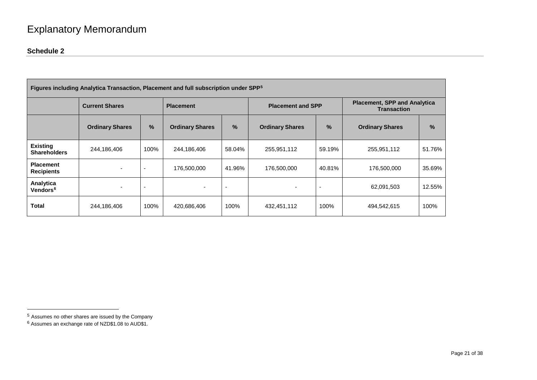# <span id="page-22-2"></span><span id="page-22-1"></span>**Schedule 2**

|                                        | Figures including Analytica Transaction, Placement and full subscription under SPP <sup>5</sup> |      |                          |        |                                                           |                          |                        |               |
|----------------------------------------|-------------------------------------------------------------------------------------------------|------|--------------------------|--------|-----------------------------------------------------------|--------------------------|------------------------|---------------|
|                                        | <b>Current Shares</b><br><b>Placement</b>                                                       |      | <b>Placement and SPP</b> |        | <b>Placement, SPP and Analytica</b><br><b>Transaction</b> |                          |                        |               |
|                                        | <b>Ordinary Shares</b>                                                                          | %    | <b>Ordinary Shares</b>   | $\%$   | <b>Ordinary Shares</b>                                    | %                        | <b>Ordinary Shares</b> | $\frac{9}{6}$ |
| <b>Existing</b><br><b>Shareholders</b> | 244,186,406                                                                                     | 100% | 244,186,406              | 58.04% | 255,951,112                                               | 59.19%                   | 255,951,112            | 51.76%        |
| <b>Placement</b><br><b>Recipients</b>  |                                                                                                 |      | 176,500,000              | 41.96% | 176,500,000                                               | 40.81%                   | 176,500,000            | 35.69%        |
| Analytica<br>Vendors <sup>6</sup>      |                                                                                                 |      |                          |        |                                                           | $\overline{\phantom{0}}$ | 62,091,503             | 12.55%        |
| <b>Total</b>                           | 244,186,406                                                                                     | 100% | 420,686,406              | 100%   | 432,451,112                                               | 100%                     | 494,542,615            | 100%          |

<span id="page-22-0"></span> <sup>5</sup> Assumes no other shares are issued by the Company

<sup>6</sup> Assumes an exchange rate of NZD\$1.08 to AUD\$1.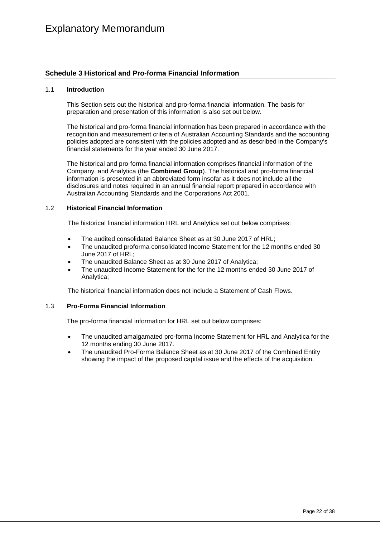### <span id="page-23-0"></span>**Schedule 3 Historical and Pro-forma Financial Information**

#### 1.1 **Introduction**

This Section sets out the historical and pro-forma financial information. The basis for preparation and presentation of this information is also set out below.

The historical and pro-forma financial information has been prepared in accordance with the recognition and measurement criteria of Australian Accounting Standards and the accounting policies adopted are consistent with the policies adopted and as described in the Company's financial statements for the year ended 30 June 2017.

The historical and pro-forma financial information comprises financial information of the Company, and Analytica (the **Combined Group**). The historical and pro-forma financial information is presented in an abbreviated form insofar as it does not include all the disclosures and notes required in an annual financial report prepared in accordance with Australian Accounting Standards and the Corporations Act 2001.

### 1.2 **Historical Financial Information**

The historical financial information HRL and Analytica set out below comprises:

- The audited consolidated Balance Sheet as at 30 June 2017 of HRL;
- The unaudited proforma consolidated Income Statement for the 12 months ended 30 June 2017 of HRL;
- The unaudited Balance Sheet as at 30 June 2017 of Analytica;
- The unaudited Income Statement for the for the 12 months ended 30 June 2017 of Analytica;

The historical financial information does not include a Statement of Cash Flows.

#### 1.3 **Pro-Forma Financial Information**

The pro-forma financial information for HRL set out below comprises:

- The unaudited amalgamated pro-forma Income Statement for HRL and Analytica for the 12 months ending 30 June 2017.
- The unaudited Pro-Forma Balance Sheet as at 30 June 2017 of the Combined Entity showing the impact of the proposed capital issue and the effects of the acquisition.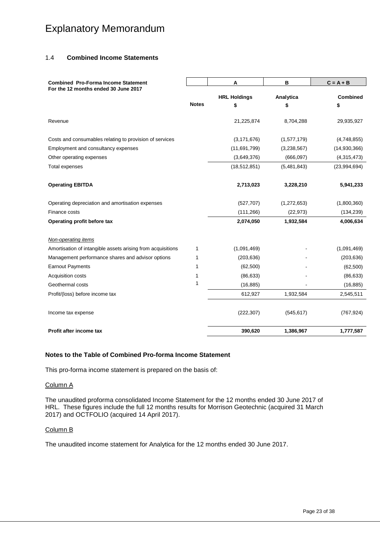### 1.4 **Combined Income Statements**

| <b>Combined Pro-Forma Income Statement</b>                  |              | A                   | B           | $C = A + B$     |
|-------------------------------------------------------------|--------------|---------------------|-------------|-----------------|
| For the 12 months ended 30 June 2017                        |              | <b>HRL Holdings</b> | Analytica   | <b>Combined</b> |
|                                                             | <b>Notes</b> | \$                  | \$          | \$              |
| Revenue                                                     |              | 21,225,874          | 8,704,288   | 29,935,927      |
| Costs and consumables relating to provision of services     |              | (3, 171, 676)       | (1,577,179) | (4,748,855)     |
| Employment and consultancy expenses                         |              | (11,691,799)        | (3,238,567) | (14,930,366)    |
| Other operating expenses                                    |              | (3,649,376)         | (666, 097)  | (4,315,473)     |
| Total expenses                                              |              | (18, 512, 851)      | (5,481,843) | (23,994,694)    |
| <b>Operating EBITDA</b>                                     |              | 2,713,023           | 3,228,210   | 5,941,233       |
| Operating depreciation and amortisation expenses            |              | (527, 707)          | (1,272,653) | (1,800,360)     |
| Finance costs                                               |              | (111, 266)          | (22, 973)   | (134, 239)      |
| Operating profit before tax                                 |              | 2,074,050           | 1,932,584   | 4,006,634       |
| <b>Non-operating items</b>                                  |              |                     |             |                 |
| Amortisation of intangible assets arising from acquisitions | 1            | (1,091,469)         |             | (1,091,469)     |
| Management performance shares and advisor options           | 1            | (203, 636)          |             | (203, 636)      |
| <b>Earnout Payments</b>                                     | 1            | (62, 500)           |             | (62, 500)       |
| Acquisition costs                                           | 1            | (86, 633)           |             | (86, 633)       |
| Geothermal costs                                            | 1            | (16, 885)           |             | (16, 885)       |
| Profit/(loss) before income tax                             |              | 612,927             | 1,932,584   | 2,545,511       |
| Income tax expense                                          |              | (222, 307)          | (545, 617)  | (767, 924)      |
| Profit after income tax                                     |              | 390,620             | 1,386,967   | 1,777,587       |

#### **Notes to the Table of Combined Pro-forma Income Statement**

This pro-forma income statement is prepared on the basis of:

#### Column A

The unaudited proforma consolidated Income Statement for the 12 months ended 30 June 2017 of HRL. These figures include the full 12 months results for Morrison Geotechnic (acquired 31 March 2017) and OCTFOLIO (acquired 14 April 2017).

#### Column B

The unaudited income statement for Analytica for the 12 months ended 30 June 2017.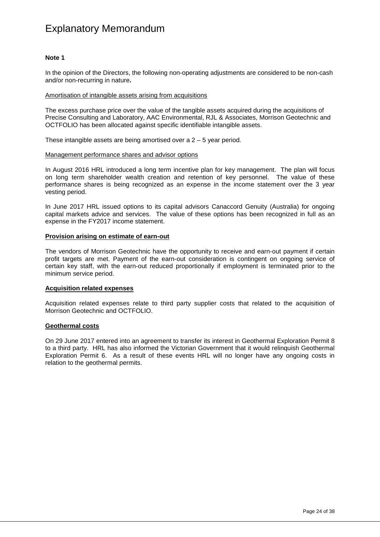#### **Note 1**

In the opinion of the Directors, the following non-operating adjustments are considered to be non-cash and/or non-recurring in nature**.**

#### Amortisation of intangible assets arising from acquisitions

The excess purchase price over the value of the tangible assets acquired during the acquisitions of Precise Consulting and Laboratory, AAC Environmental, RJL & Associates, Morrison Geotechnic and OCTFOLIO has been allocated against specific identifiable intangible assets.

These intangible assets are being amortised over a 2 – 5 year period.

#### Management performance shares and advisor options

In August 2016 HRL introduced a long term incentive plan for key management. The plan will focus on long term shareholder wealth creation and retention of key personnel. The value of these performance shares is being recognized as an expense in the income statement over the 3 year vesting period.

In June 2017 HRL issued options to its capital advisors Canaccord Genuity (Australia) for ongoing capital markets advice and services. The value of these options has been recognized in full as an expense in the FY2017 income statement.

#### **Provision arising on estimate of earn-out**

The vendors of Morrison Geotechnic have the opportunity to receive and earn-out payment if certain profit targets are met. Payment of the earn-out consideration is contingent on ongoing service of certain key staff, with the earn-out reduced proportionally if employment is terminated prior to the minimum service period.

#### **Acquisition related expenses**

Acquisition related expenses relate to third party supplier costs that related to the acquisition of Morrison Geotechnic and OCTFOLIO.

#### **Geothermal costs**

On 29 June 2017 entered into an agreement to transfer its interest in Geothermal Exploration Permit 8 to a third party. HRL has also informed the Victorian Government that it would relinquish Geothermal Exploration Permit 6. As a result of these events HRL will no longer have any ongoing costs in relation to the geothermal permits.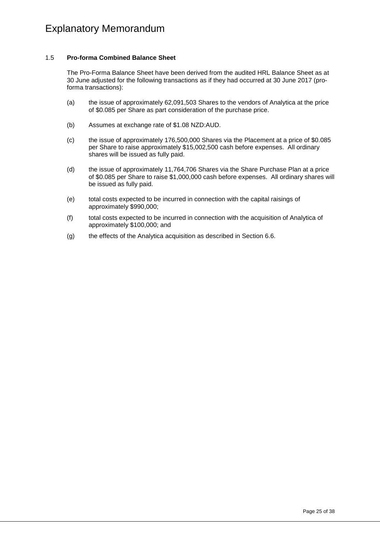### 1.5 **Pro-forma Combined Balance Sheet**

The Pro-Forma Balance Sheet have been derived from the audited HRL Balance Sheet as at 30 June adjusted for the following transactions as if they had occurred at 30 June 2017 (proforma transactions):

- (a) the issue of approximately 62,091,503 Shares to the vendors of Analytica at the price of \$0.085 per Share as part consideration of the purchase price.
- (b) Assumes at exchange rate of \$1.08 NZD:AUD.
- (c) the issue of approximately 176,500,000 Shares via the Placement at a price of \$0.085 per Share to raise approximately \$15,002,500 cash before expenses. All ordinary shares will be issued as fully paid.
- (d) the issue of approximately 11,764,706 Shares via the Share Purchase Plan at a price of \$0.085 per Share to raise \$1,000,000 cash before expenses. All ordinary shares will be issued as fully paid.
- (e) total costs expected to be incurred in connection with the capital raisings of approximately \$990,000;
- (f) total costs expected to be incurred in connection with the acquisition of Analytica of approximately \$100,000; and
- (g) the effects of the Analytica acquisition as described in Section 6.6.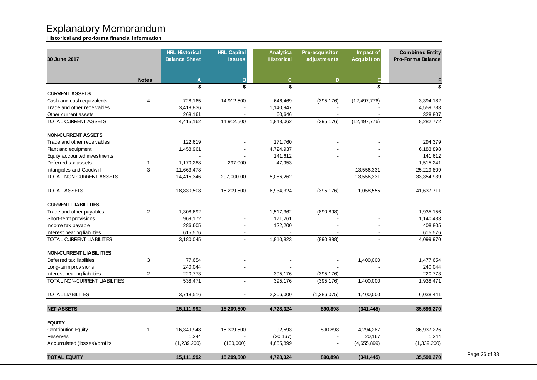**Historical and pro-forma financial information**

| 30 June 2017                     |                         | <b>HRL Historical</b><br><b>Balance Sheet</b> | <b>HRL Capital</b><br><b>Issues</b> | <b>Analytica</b><br><b>Historical</b> | Pre-acquisiton<br>adjustments | Impact of<br><b>Acquisition</b> | <b>Combined Entity</b><br><b>Pro-Forma Balance</b> |
|----------------------------------|-------------------------|-----------------------------------------------|-------------------------------------|---------------------------------------|-------------------------------|---------------------------------|----------------------------------------------------|
|                                  | <b>Notes</b>            | $\mathbf{A}$                                  | B                                   | $\mathbf{C}$                          | D                             | Е                               | F                                                  |
|                                  |                         | \$                                            | \$                                  | \$                                    |                               | \$                              | \$                                                 |
| <b>CURRENT ASSETS</b>            |                         |                                               |                                     |                                       |                               |                                 |                                                    |
| Cash and cash equivalents        | $\overline{\mathbf{4}}$ | 728,165                                       | 14,912,500                          | 646,469                               | (395, 176)                    | (12, 497, 776)                  | 3,394,182                                          |
| Trade and other receivables      |                         | 3,418,836                                     |                                     | 1,140,947                             |                               |                                 | 4,559,783                                          |
| Other current assets             |                         | 268,161                                       |                                     | 60,646                                |                               |                                 | 328,807                                            |
| <b>TOTAL CURRENT ASSETS</b>      |                         | 4,415,162                                     | 14,912,500                          | 1,848,062                             | (395, 176)                    | (12, 497, 776)                  | 8,282,772                                          |
| <b>NON-CURRENT ASSETS</b>        |                         |                                               |                                     |                                       |                               |                                 |                                                    |
| Trade and other receivables      |                         | 122,619                                       |                                     | 171,760                               |                               |                                 | 294,379                                            |
| Plant and equipment              |                         | 1,458,961                                     |                                     | 4,724,937                             |                               |                                 | 6,183,898                                          |
| Equity accounted investments     |                         |                                               |                                     | 141,612                               |                               |                                 | 141,612                                            |
| Deferred tax assets              | $\mathbf{1}$            | 1,170,288                                     | 297,000                             | 47,953                                |                               |                                 | 1,515,241                                          |
| Intangibles and Goodwill         | 3                       | 11,663,478                                    |                                     |                                       |                               | 13,556,331                      | 25,219,809                                         |
| TOTAL NON-CURRENT ASSETS         |                         | 14,415,346                                    | 297,000.00                          | 5,086,262                             |                               | 13,556,331                      | 33,354,939                                         |
| <b>TOTAL ASSETS</b>              |                         | 18,830,508                                    | 15,209,500                          | 6,934,324                             | (395, 176)                    | 1,058,555                       | 41,637,711                                         |
| <b>CURRENT LIABILITIES</b>       |                         |                                               |                                     |                                       |                               |                                 |                                                    |
| Trade and other payables         | $\overline{2}$          | 1,308,692                                     |                                     | 1,517,362                             | (890, 898)                    |                                 | 1,935,156                                          |
| Short-term provisions            |                         | 969,172                                       |                                     | 171,261                               |                               |                                 | 1,140,433                                          |
| Income tax payable               |                         | 286,605                                       |                                     | 122,200                               |                               |                                 | 408,805                                            |
| Interest bearing liabilities     |                         | 615,576                                       |                                     |                                       |                               |                                 | 615,576                                            |
| <b>TOTAL CURRENT LIABILITIES</b> |                         | 3,180,045                                     | L.                                  | 1,810,823                             | (890, 898)                    |                                 | 4,099,970                                          |
| <b>NON-CURRENT LIABILITIES</b>   |                         |                                               |                                     |                                       |                               |                                 |                                                    |
| Deferred tax liabilities         | 3                       | 77,654                                        |                                     |                                       |                               | 1,400,000                       | 1,477,654                                          |
| Long-term provisions             |                         | 240,044                                       |                                     |                                       |                               |                                 | 240,044                                            |
| Interest bearing liabilities     | $\overline{2}$          | 220,773                                       |                                     | 395,176                               | (395, 176)                    |                                 | 220,773                                            |
| TOTAL NON-CURRENT LIABILITIES    |                         | 538,471                                       |                                     | 395,176                               | (395, 176)                    | 1,400,000                       | 1,938,471                                          |
| <b>TOTAL LIABILITIES</b>         |                         | 3,718,516                                     |                                     | 2,206,000                             | (1,286,075)                   | 1,400,000                       | 6,038,441                                          |
| <b>NET ASSETS</b>                |                         | 15,111,992                                    | 15,209,500                          | 4.728.324                             | 890.898                       | (341, 445)                      | 35,599,270                                         |
| <b>EQUITY</b>                    |                         |                                               |                                     |                                       |                               |                                 |                                                    |
| <b>Contribution Equity</b>       | 1                       | 16,349,948                                    | 15,309,500                          | 92,593                                | 890,898                       | 4,294,287                       | 36,937,226                                         |
| Reserves                         |                         | 1,244                                         |                                     | (20, 167)                             |                               | 20,167                          | 1,244                                              |
| Accumulated (losses)/profits     |                         | (1,239,200)                                   | (100,000)                           | 4,655,899                             |                               | (4,655,899)                     | (1,339,200)                                        |
| <b>TOTAL EQUITY</b>              |                         | 15,111,992                                    | 15,209,500                          | 4,728,324                             | 890,898                       | (341, 445)                      | 35,599,270                                         |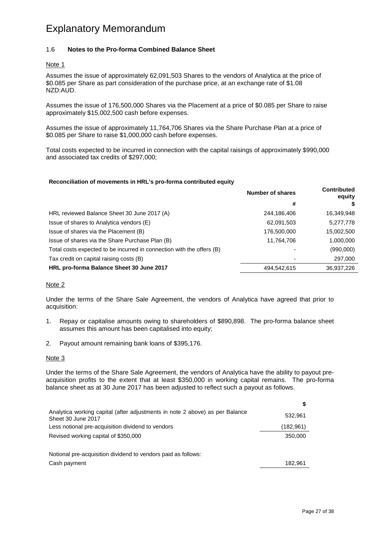### 1.6 **Notes to the Pro-forma Combined Balance Sheet**

#### Note 1

Assumes the issue of approximately 62,091,503 Shares to the vendors of Analytica at the price of \$0.085 per Share as part consideration of the purchase price, at an exchange rate of \$1.08 NZD:AUD.

Assumes the issue of 176,500,000 Shares via the Placement at a price of \$0.085 per Share to raise approximately \$15,002,500 cash before expenses.

Assumes the issue of approximately 11,764,706 Shares via the Share Purchase Plan at a price of \$0.085 per Share to raise \$1,000,000 cash before expenses.

Total costs expected to be incurred in connection with the capital raisings of approximately \$990,000 and associated tax credits of \$297,000;

#### **Reconciliation of movements in HRL's pro-forma contributed equity**

|                                                                       | <b>Number of shares</b> | <b>Contributed</b><br>equity |
|-----------------------------------------------------------------------|-------------------------|------------------------------|
|                                                                       | #                       |                              |
| HRL reviewed Balance Sheet 30 June 2017 (A)                           | 244,186,406             | 16,349,948                   |
| Issue of shares to Analytica vendors (E)                              | 62,091,503              | 5,277,778                    |
| Issue of shares via the Placement (B)                                 | 176,500,000             | 15,002,500                   |
| Issue of shares via the Share Purchase Plan (B)                       | 11,764,706              | 1,000,000                    |
| Total costs expected to be incurred in connection with the offers (B) |                         | (990,000)                    |
| Tax credit on capital raising costs (B)                               |                         | 297,000                      |
| HRL pro-forma Balance Sheet 30 June 2017                              | 494,542,615             | 36,937,226                   |

#### Note 2

Under the terms of the Share Sale Agreement, the vendors of Analytica have agreed that prior to acquisition:

- 1. Repay or capitalise amounts owing to shareholders of \$890,898. The pro-forma balance sheet assumes this amount has been capitalised into equity;
- 2. Payout amount remaining bank loans of \$395,176.

#### Note 3

Under the terms of the Share Sale Agreement, the vendors of Analytica have the ability to payout preacquisition profits to the extent that at least \$350,000 in working capital remains. The pro-forma balance sheet as at 30 June 2017 has been adjusted to reflect such a payout as follows.

| Analytica working capital (after adjustments in note 2 above) as per Balance<br>Sheet 30 June 2017 | 532,961    |
|----------------------------------------------------------------------------------------------------|------------|
| Less notional pre-acquisition dividend to vendors                                                  | (182, 961) |
| Revised working capital of \$350,000                                                               | 350,000    |
| Notional pre-acquisition dividend to vendors paid as follows:                                      |            |
| Cash payment                                                                                       | 182.961    |

**\$**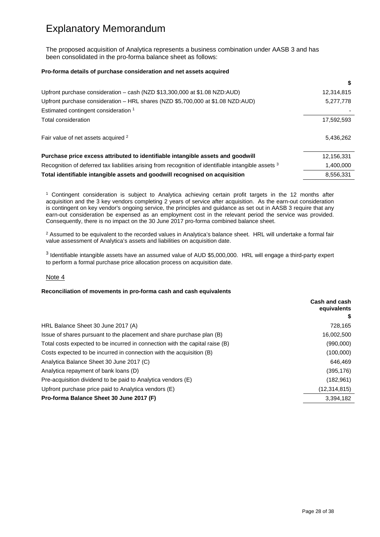The proposed acquisition of Analytica represents a business combination under AASB 3 and has been consolidated in the pro-forma balance sheet as follows:

#### **Pro-forma details of purchase consideration and net assets acquired**

| 12,314,815 |
|------------|
| 5,277,778  |
|            |
| 17,592,593 |
| 5,436,262  |
| 12,156,331 |
| 1,400,000  |
| 8,556,331  |
|            |

<sup>1</sup> Contingent consideration is subject to Analytica achieving certain profit targets in the 12 months after acquisition and the 3 key vendors completing 2 years of service after acquisition. As the earn-out consideration is contingent on key vendor's ongoing service, the principles and guidance as set out in AASB 3 require that any earn-out consideration be expensed as an employment cost in the relevant period the service was provided. Consequently, there is no impact on the 30 June 2017 pro-forma combined balance sheet.

<sup>2</sup> Assumed to be equivalent to the recorded values in Analytica's balance sheet. HRL will undertake a formal fair value assessment of Analytica's assets and liabilities on acquisition date.

<sup>3</sup> Identifiable intangible assets have an assumed value of AUD \$5,000,000. HRL will engage a third-party expert to perform a formal purchase price allocation process on acquisition date.

#### Note 4

#### **Reconciliation of movements in pro-forma cash and cash equivalents**

|                                                                              | Cash and cash<br>equivalents |
|------------------------------------------------------------------------------|------------------------------|
|                                                                              |                              |
| HRL Balance Sheet 30 June 2017 (A)                                           | 728,165                      |
| Issue of shares pursuant to the placement and share purchase plan (B)        | 16,002,500                   |
| Total costs expected to be incurred in connection with the capital raise (B) | (990,000)                    |
| Costs expected to be incurred in connection with the acquisition (B)         | (100,000)                    |
| Analytica Balance Sheet 30 June 2017 (C)                                     | 646,469                      |
| Analytica repayment of bank loans (D)                                        | (395,176)                    |
| Pre-acquisition dividend to be paid to Analytica vendors (E)                 | (182,961)                    |
| Upfront purchase price paid to Analytica vendors (E)                         | (12, 314, 815)               |
| Pro-forma Balance Sheet 30 June 2017 (F)                                     | 3,394,182                    |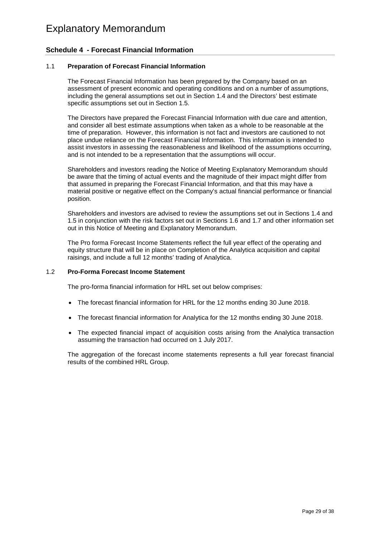## <span id="page-30-0"></span>**Schedule 4 - Forecast Financial Information**

#### 1.1 **Preparation of Forecast Financial Information**

The Forecast Financial Information has been prepared by the Company based on an assessment of present economic and operating conditions and on a number of assumptions, including the general assumptions set out in Section 1.4 and the Directors' best estimate specific assumptions set out in Section 1.5.

The Directors have prepared the Forecast Financial Information with due care and attention, and consider all best estimate assumptions when taken as a whole to be reasonable at the time of preparation. However, this information is not fact and investors are cautioned to not place undue reliance on the Forecast Financial Information. This information is intended to assist investors in assessing the reasonableness and likelihood of the assumptions occurring, and is not intended to be a representation that the assumptions will occur.

Shareholders and investors reading the Notice of Meeting Explanatory Memorandum should be aware that the timing of actual events and the magnitude of their impact might differ from that assumed in preparing the Forecast Financial Information, and that this may have a material positive or negative effect on the Company's actual financial performance or financial position.

Shareholders and investors are advised to review the assumptions set out in Sections 1.4 and 1.5 in conjunction with the risk factors set out in Sections 1.6 and 1.7 and other information set out in this Notice of Meeting and Explanatory Memorandum.

The Pro forma Forecast Income Statements reflect the full year effect of the operating and equity structure that will be in place on Completion of the Analytica acquisition and capital raisings, and include a full 12 months' trading of Analytica.

#### 1.2 **Pro-Forma Forecast Income Statement**

The pro-forma financial information for HRL set out below comprises:

- The forecast financial information for HRL for the 12 months ending 30 June 2018.
- The forecast financial information for Analytica for the 12 months ending 30 June 2018.
- The expected financial impact of acquisition costs arising from the Analytica transaction assuming the transaction had occurred on 1 July 2017.

The aggregation of the forecast income statements represents a full year forecast financial results of the combined HRL Group.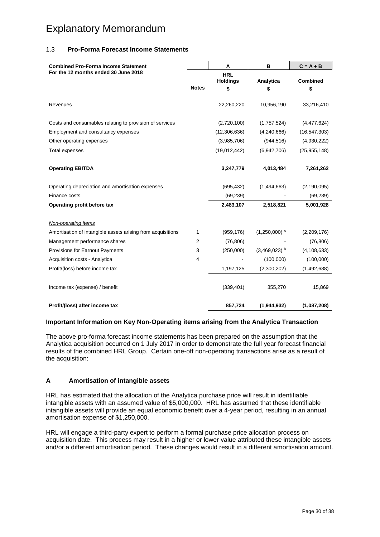### 1.3 **Pro-Forma Forecast Income Statements**

| <b>Combined Pro-Forma Income Statement</b><br>For the 12 months ended 30 June 2018 |              | Α                             | B                          | $C = A + B$    |
|------------------------------------------------------------------------------------|--------------|-------------------------------|----------------------------|----------------|
|                                                                                    |              | <b>HRL</b><br><b>Holdings</b> | Analytica                  | Combined       |
|                                                                                    | <b>Notes</b> | \$                            | \$                         | \$             |
| Revenues                                                                           |              | 22,260,220                    | 10,956,190                 | 33,216,410     |
| Costs and consumables relating to provision of services                            |              | (2,720,100)                   | (1,757,524)                | (4,477,624)    |
| Employment and consultancy expenses                                                |              | (12, 306, 636)                | (4, 240, 666)              | (16, 547, 303) |
| Other operating expenses                                                           |              | (3,985,706)                   | (944, 516)                 | (4,930,222)    |
| <b>Total expenses</b>                                                              |              | (19,012,442)                  | (6,942,706)                | (25, 955, 148) |
| <b>Operating EBITDA</b>                                                            |              | 3,247,779                     | 4,013,484                  | 7,261,262      |
| Operating depreciation and amortisation expenses                                   |              | (695, 432)                    | (1,494,663)                | (2, 190, 095)  |
| Finance costs                                                                      |              | (69, 239)                     |                            | (69, 239)      |
| Operating profit before tax                                                        |              | 2,483,107                     | 2,518,821                  | 5,001,928      |
| Non-operating items                                                                |              |                               |                            |                |
| Amortisation of intangible assets arising from acquisitions                        | 1            | (959, 176)                    | $(1,250,000)$ <sup>A</sup> | (2,209,176)    |
| Management performance shares                                                      | 2            | (76, 806)                     |                            | (76, 806)      |
| Provisions for Earnout Payments                                                    | 3            | (250,000)                     | $(3,469,023)$ <sup>B</sup> | (4, 108, 633)  |
| Acquisition costs - Analytica                                                      | 4            |                               | (100,000)                  | (100,000)      |
| Profit/(loss) before income tax                                                    |              | 1,197,125                     | (2,300,202)                | (1,492,688)    |
| Income tax (expense) / benefit                                                     |              | (339, 401)                    | 355,270                    | 15,869         |
| Profit/(loss) after income tax                                                     |              | 857,724                       | (1,944,932)                | (1,087,208)    |

#### **Important Information on Key Non-Operating items arising from the Analytica Transaction**

The above pro-forma forecast income statements has been prepared on the assumption that the Analytica acquisition occurred on 1 July 2017 in order to demonstrate the full year forecast financial results of the combined HRL Group. Certain one-off non-operating transactions arise as a result of the acquisition:

### **A Amortisation of intangible assets**

HRL has estimated that the allocation of the Analytica purchase price will result in identifiable intangible assets with an assumed value of \$5,000,000. HRL has assumed that these identifiable intangible assets will provide an equal economic benefit over a 4-year period, resulting in an annual amortisation expense of \$1,250,000.

HRL will engage a third-party expert to perform a formal purchase price allocation process on acquisition date. This process may result in a higher or lower value attributed these intangible assets and/or a different amortisation period. These changes would result in a different amortisation amount.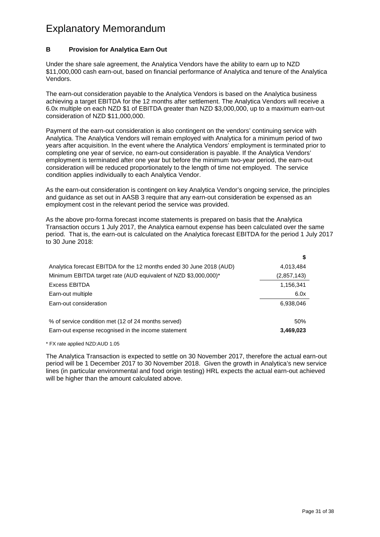### **B Provision for Analytica Earn Out**

Under the share sale agreement, the Analytica Vendors have the ability to earn up to NZD \$11,000,000 cash earn-out, based on financial performance of Analytica and tenure of the Analytica Vendors.

The earn-out consideration payable to the Analytica Vendors is based on the Analytica business achieving a target EBITDA for the 12 months after settlement. The Analytica Vendors will receive a 6.0x multiple on each NZD \$1 of EBITDA greater than NZD \$3,000,000, up to a maximum earn-out consideration of NZD \$11,000,000.

Payment of the earn-out consideration is also contingent on the vendors' continuing service with Analytica. The Analytica Vendors will remain employed with Analytica for a minimum period of two years after acquisition. In the event where the Analytica Vendors' employment is terminated prior to completing one year of service, no earn-out consideration is payable. If the Analytica Vendors' employment is terminated after one year but before the minimum two-year period, the earn-out consideration will be reduced proportionately to the length of time not employed. The service condition applies individually to each Analytica Vendor.

As the earn-out consideration is contingent on key Analytica Vendor's ongoing service, the principles and guidance as set out in AASB 3 require that any earn-out consideration be expensed as an employment cost in the relevant period the service was provided.

As the above pro-forma forecast income statements is prepared on basis that the Analytica Transaction occurs 1 July 2017, the Analytica earnout expense has been calculated over the same period. That is, the earn-out is calculated on the Analytica forecast EBITDA for the period 1 July 2017 to 30 June 2018:

| Analytica forecast EBITDA for the 12 months ended 30 June 2018 (AUD) | 4,013,484   |
|----------------------------------------------------------------------|-------------|
| Minimum EBITDA target rate (AUD equivalent of NZD \$3,000,000)*      | (2,857,143) |
| <b>Excess EBITDA</b>                                                 | 1,156,341   |
| Earn-out multiple                                                    | 6.0x        |
| Earn-out consideration                                               | 6,938,046   |
|                                                                      |             |
| % of service condition met (12 of 24 months served)                  | 50%         |
| Earn-out expense recognised in the income statement                  | 3,469,023   |

\* FX rate applied NZD:AUD 1.05

The Analytica Transaction is expected to settle on 30 November 2017, therefore the actual earn-out period will be 1 December 2017 to 30 November 2018. Given the growth in Analytica's new service lines (in particular environmental and food origin testing) HRL expects the actual earn-out achieved will be higher than the amount calculated above.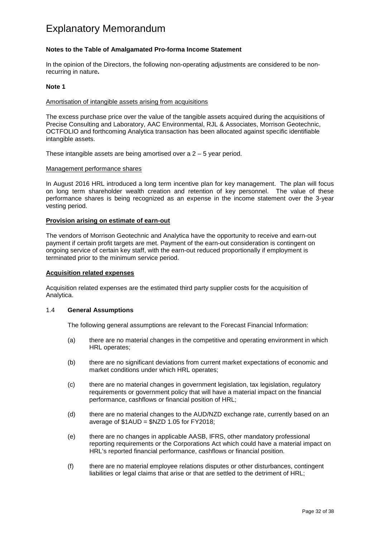### **Notes to the Table of Amalgamated Pro-forma Income Statement**

In the opinion of the Directors, the following non-operating adjustments are considered to be nonrecurring in nature**.**

#### **Note 1**

#### Amortisation of intangible assets arising from acquisitions

The excess purchase price over the value of the tangible assets acquired during the acquisitions of Precise Consulting and Laboratory, AAC Environmental, RJL & Associates, Morrison Geotechnic, OCTFOLIO and forthcoming Analytica transaction has been allocated against specific identifiable intangible assets.

These intangible assets are being amortised over a 2 – 5 year period.

#### Management performance shares

In August 2016 HRL introduced a long term incentive plan for key management. The plan will focus on long term shareholder wealth creation and retention of key personnel. The value of these performance shares is being recognized as an expense in the income statement over the 3-year vesting period.

#### **Provision arising on estimate of earn-out**

The vendors of Morrison Geotechnic and Analytica have the opportunity to receive and earn-out payment if certain profit targets are met. Payment of the earn-out consideration is contingent on ongoing service of certain key staff, with the earn-out reduced proportionally if employment is terminated prior to the minimum service period.

#### **Acquisition related expenses**

Acquisition related expenses are the estimated third party supplier costs for the acquisition of Analytica.

#### 1.4 **General Assumptions**

The following general assumptions are relevant to the Forecast Financial Information:

- (a) there are no material changes in the competitive and operating environment in which HRL operates;
- (b) there are no significant deviations from current market expectations of economic and market conditions under which HRL operates;
- (c) there are no material changes in government legislation, tax legislation, regulatory requirements or government policy that will have a material impact on the financial performance, cashflows or financial position of HRL;
- (d) there are no material changes to the AUD/NZD exchange rate, currently based on an average of \$1AUD = \$NZD 1.05 for FY2018;
- (e) there are no changes in applicable AASB, IFRS, other mandatory professional reporting requirements or the Corporations Act which could have a material impact on HRL's reported financial performance, cashflows or financial position.
- (f) there are no material employee relations disputes or other disturbances, contingent liabilities or legal claims that arise or that are settled to the detriment of HRL;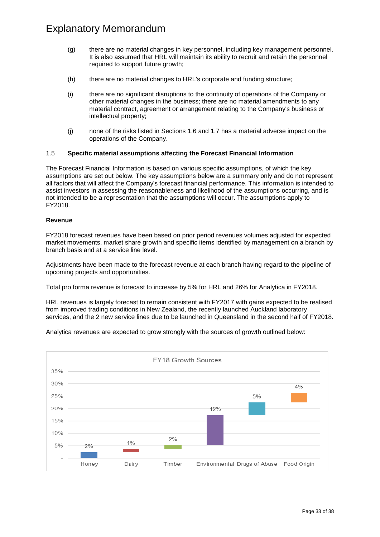- (g) there are no material changes in key personnel, including key management personnel. It is also assumed that HRL will maintain its ability to recruit and retain the personnel required to support future growth;
- (h) there are no material changes to HRL's corporate and funding structure;
- (i) there are no significant disruptions to the continuity of operations of the Company or other material changes in the business; there are no material amendments to any material contract, agreement or arrangement relating to the Company's business or intellectual property;
- (j) none of the risks listed in Sections 1.6 and 1.7 has a material adverse impact on the operations of the Company.

### 1.5 **Specific material assumptions affecting the Forecast Financial Information**

The Forecast Financial Information is based on various specific assumptions, of which the key assumptions are set out below. The key assumptions below are a summary only and do not represent all factors that will affect the Company's forecast financial performance. This information is intended to assist investors in assessing the reasonableness and likelihood of the assumptions occurring, and is not intended to be a representation that the assumptions will occur. The assumptions apply to FY2018.

#### **Revenue**

FY2018 forecast revenues have been based on prior period revenues volumes adjusted for expected market movements, market share growth and specific items identified by management on a branch by branch basis and at a service line level.

Adjustments have been made to the forecast revenue at each branch having regard to the pipeline of upcoming projects and opportunities.

Total pro forma revenue is forecast to increase by 5% for HRL and 26% for Analytica in FY2018.

HRL revenues is largely forecast to remain consistent with FY2017 with gains expected to be realised from improved trading conditions in New Zealand, the recently launched Auckland laboratory services, and the 2 new service lines due to be launched in Queensland in the second half of FY2018.

Analytica revenues are expected to grow strongly with the sources of growth outlined below:

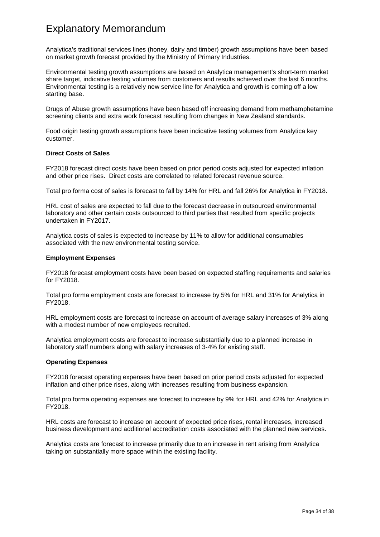Analytica's traditional services lines (honey, dairy and timber) growth assumptions have been based on market growth forecast provided by the Ministry of Primary Industries.

Environmental testing growth assumptions are based on Analytica management's short-term market share target, indicative testing volumes from customers and results achieved over the last 6 months. Environmental testing is a relatively new service line for Analytica and growth is coming off a low starting base.

Drugs of Abuse growth assumptions have been based off increasing demand from methamphetamine screening clients and extra work forecast resulting from changes in New Zealand standards.

Food origin testing growth assumptions have been indicative testing volumes from Analytica key customer.

#### **Direct Costs of Sales**

FY2018 forecast direct costs have been based on prior period costs adjusted for expected inflation and other price rises. Direct costs are correlated to related forecast revenue source.

Total pro forma cost of sales is forecast to fall by 14% for HRL and fall 26% for Analytica in FY2018.

HRL cost of sales are expected to fall due to the forecast decrease in outsourced environmental laboratory and other certain costs outsourced to third parties that resulted from specific projects undertaken in FY2017.

Analytica costs of sales is expected to increase by 11% to allow for additional consumables associated with the new environmental testing service.

#### **Employment Expenses**

FY2018 forecast employment costs have been based on expected staffing requirements and salaries for FY2018.

Total pro forma employment costs are forecast to increase by 5% for HRL and 31% for Analytica in FY2018.

HRL employment costs are forecast to increase on account of average salary increases of 3% along with a modest number of new employees recruited.

Analytica employment costs are forecast to increase substantially due to a planned increase in laboratory staff numbers along with salary increases of 3-4% for existing staff.

#### **Operating Expenses**

FY2018 forecast operating expenses have been based on prior period costs adjusted for expected inflation and other price rises, along with increases resulting from business expansion.

Total pro forma operating expenses are forecast to increase by 9% for HRL and 42% for Analytica in FY2018.

HRL costs are forecast to increase on account of expected price rises, rental increases, increased business development and additional accreditation costs associated with the planned new services.

Analytica costs are forecast to increase primarily due to an increase in rent arising from Analytica taking on substantially more space within the existing facility.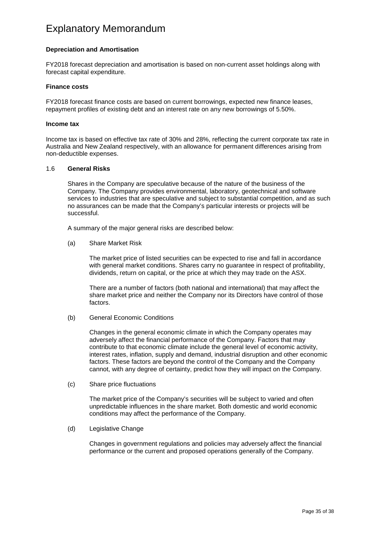#### **Depreciation and Amortisation**

FY2018 forecast depreciation and amortisation is based on non-current asset holdings along with forecast capital expenditure.

#### **Finance costs**

FY2018 forecast finance costs are based on current borrowings, expected new finance leases, repayment profiles of existing debt and an interest rate on any new borrowings of 5.50%.

#### **Income tax**

Income tax is based on effective tax rate of 30% and 28%, reflecting the current corporate tax rate in Australia and New Zealand respectively, with an allowance for permanent differences arising from non-deductible expenses.

#### 1.6 **General Risks**

Shares in the Company are speculative because of the nature of the business of the Company. The Company provides environmental, laboratory, geotechnical and software services to industries that are speculative and subject to substantial competition, and as such no assurances can be made that the Company's particular interests or projects will be successful.

A summary of the major general risks are described below:

(a) Share Market Risk

The market price of listed securities can be expected to rise and fall in accordance with general market conditions. Shares carry no guarantee in respect of profitability, dividends, return on capital, or the price at which they may trade on the ASX.

There are a number of factors (both national and international) that may affect the share market price and neither the Company nor its Directors have control of those factors.

(b) General Economic Conditions

Changes in the general economic climate in which the Company operates may adversely affect the financial performance of the Company. Factors that may contribute to that economic climate include the general level of economic activity, interest rates, inflation, supply and demand, industrial disruption and other economic factors. These factors are beyond the control of the Company and the Company cannot, with any degree of certainty, predict how they will impact on the Company.

(c) Share price fluctuations

The market price of the Company's securities will be subject to varied and often unpredictable influences in the share market. Both domestic and world economic conditions may affect the performance of the Company.

(d) Legislative Change

Changes in government regulations and policies may adversely affect the financial performance or the current and proposed operations generally of the Company.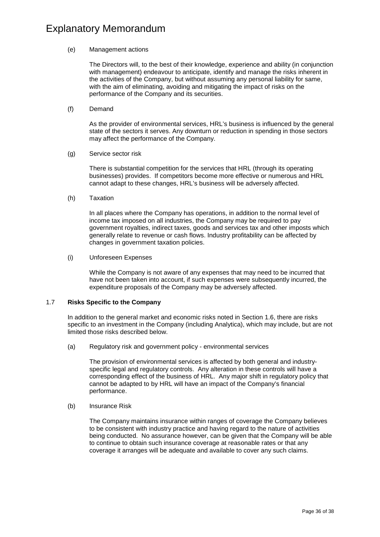#### (e) Management actions

The Directors will, to the best of their knowledge, experience and ability (in conjunction with management) endeavour to anticipate, identify and manage the risks inherent in the activities of the Company, but without assuming any personal liability for same, with the aim of eliminating, avoiding and mitigating the impact of risks on the performance of the Company and its securities.

(f) Demand

As the provider of environmental services, HRL's business is influenced by the general state of the sectors it serves. Any downturn or reduction in spending in those sectors may affect the performance of the Company.

(g) Service sector risk

There is substantial competition for the services that HRL (through its operating businesses) provides. If competitors become more effective or numerous and HRL cannot adapt to these changes, HRL's business will be adversely affected.

(h) Taxation

In all places where the Company has operations, in addition to the normal level of income tax imposed on all industries, the Company may be required to pay government royalties, indirect taxes, goods and services tax and other imposts which generally relate to revenue or cash flows. Industry profitability can be affected by changes in government taxation policies.

(i) Unforeseen Expenses

While the Company is not aware of any expenses that may need to be incurred that have not been taken into account, if such expenses were subsequently incurred, the expenditure proposals of the Company may be adversely affected.

### 1.7 **Risks Specific to the Company**

In addition to the general market and economic risks noted in Section 1.6, there are risks specific to an investment in the Company (including Analytica), which may include, but are not limited those risks described below.

(a) Regulatory risk and government policy - environmental services

The provision of environmental services is affected by both general and industryspecific legal and regulatory controls. Any alteration in these controls will have a corresponding effect of the business of HRL. Any major shift in regulatory policy that cannot be adapted to by HRL will have an impact of the Company's financial performance.

(b) Insurance Risk

The Company maintains insurance within ranges of coverage the Company believes to be consistent with industry practice and having regard to the nature of activities being conducted. No assurance however, can be given that the Company will be able to continue to obtain such insurance coverage at reasonable rates or that any coverage it arranges will be adequate and available to cover any such claims.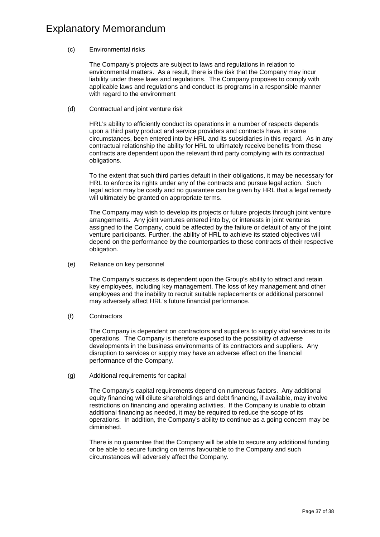#### (c) Environmental risks

The Company's projects are subject to laws and regulations in relation to environmental matters. As a result, there is the risk that the Company may incur liability under these laws and regulations. The Company proposes to comply with applicable laws and regulations and conduct its programs in a responsible manner with regard to the environment

(d) Contractual and joint venture risk

HRL's ability to efficiently conduct its operations in a number of respects depends upon a third party product and service providers and contracts have, in some circumstances, been entered into by HRL and its subsidiaries in this regard. As in any contractual relationship the ability for HRL to ultimately receive benefits from these contracts are dependent upon the relevant third party complying with its contractual obligations.

To the extent that such third parties default in their obligations, it may be necessary for HRL to enforce its rights under any of the contracts and pursue legal action. Such legal action may be costly and no guarantee can be given by HRL that a legal remedy will ultimately be granted on appropriate terms.

The Company may wish to develop its projects or future projects through joint venture arrangements. Any joint ventures entered into by, or interests in joint ventures assigned to the Company, could be affected by the failure or default of any of the joint venture participants. Further, the ability of HRL to achieve its stated objectives will depend on the performance by the counterparties to these contracts of their respective obligation.

(e) Reliance on key personnel

The Company's success is dependent upon the Group's ability to attract and retain key employees, including key management. The loss of key management and other employees and the inability to recruit suitable replacements or additional personnel may adversely affect HRL's future financial performance.

(f) Contractors

The Company is dependent on contractors and suppliers to supply vital services to its operations. The Company is therefore exposed to the possibility of adverse developments in the business environments of its contractors and suppliers. Any disruption to services or supply may have an adverse effect on the financial performance of the Company.

(g) Additional requirements for capital

The Company's capital requirements depend on numerous factors. Any additional equity financing will dilute shareholdings and debt financing, if available, may involve restrictions on financing and operating activities. If the Company is unable to obtain additional financing as needed, it may be required to reduce the scope of its operations. In addition, the Company's ability to continue as a going concern may be diminished.

There is no guarantee that the Company will be able to secure any additional funding or be able to secure funding on terms favourable to the Company and such circumstances will adversely affect the Company.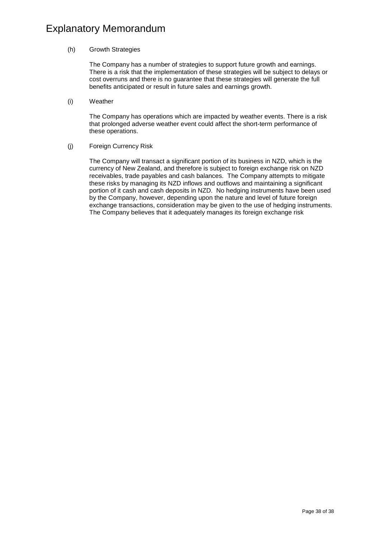#### (h) Growth Strategies

The Company has a number of strategies to support future growth and earnings. There is a risk that the implementation of these strategies will be subject to delays or cost overruns and there is no guarantee that these strategies will generate the full benefits anticipated or result in future sales and earnings growth.

(i) Weather

The Company has operations which are impacted by weather events. There is a risk that prolonged adverse weather event could affect the short-term performance of these operations.

(j) Foreign Currency Risk

The Company will transact a significant portion of its business in NZD, which is the currency of New Zealand, and therefore is subject to foreign exchange risk on NZD receivables, trade payables and cash balances. The Company attempts to mitigate these risks by managing its NZD inflows and outflows and maintaining a significant portion of it cash and cash deposits in NZD. No hedging instruments have been used by the Company, however, depending upon the nature and level of future foreign exchange transactions, consideration may be given to the use of hedging instruments. The Company believes that it adequately manages its foreign exchange risk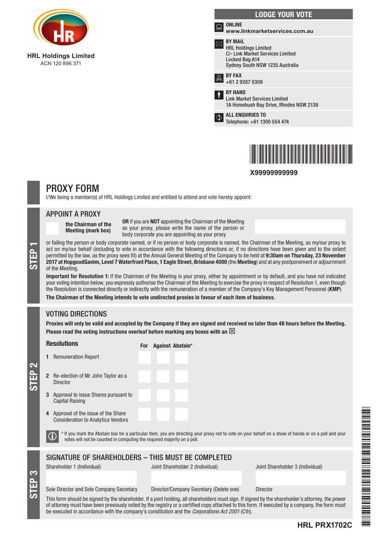

**HRL Holdings Limited** ACN 120 896 371

|    | <b>LODGE YOUR VOTE</b>                                                                                                                        |
|----|-----------------------------------------------------------------------------------------------------------------------------------------------|
| i. | <b>ONLINE</b><br>www.linkmarketservices.com.au                                                                                                |
|    | <b>BY MAIL</b><br><b>HRL Holdings Limited</b><br><b>C/- Link Market Services Limited</b><br>Locked Bag A14<br>Sydney South NSW 1235 Australia |
|    | <b>BY FAX</b><br>+61 2 9287 0309                                                                                                              |
|    | <b>BY HAND</b><br><b>Link Market Services Limited</b><br>1A Homebush Bay Drive, Rhodes NSW 2138                                               |
|    | <b>ALL ENQUIRIES TO</b><br>Telephone: +61 1300 554 474                                                                                        |
|    |                                                                                                                                               |



**X99999999999**

# PROXY FORM

I/We being a member(s) of HRL Holdings Limited and entitled to attend and vote hereby appoint:

### APPOINT A PROXY

the Chairman of the Meeting (mark box)

OR if you are NOT appointing the Chairman of the Meeting as your proxy, please write the name of the person or body corporate you are appointing as your proxy

or failing the person or body corporate named, or if no person or body corporate is named, the Chairman of the Meeting, as my/our proxy to<br>act on my/our behalf (including to vote in accordance with the following directions act on my/our behalf (including to vote in accordance with the following directions or, if no directions have been given and to the extent permitted by the law, as the proxy sees fit) at the Annual General Meeting of the Company to be held at 9:30am on Thursday, 23 November of the Meeting.

Important for Resolution 1: If the Chairman of the Meeting is your proxy, either by appointment or by default, and you have not indicated your voting intention below, you expressly authorise the Chairman of the Meeting to exercise the proxy in respect of Resolution 1, even though the Resolution is connected directly or indirectly with the remuneration of a member of the Company's Key Management Personnel (KMP).

The Chairman of the Meeting intends to vote undirected proxies in favour of each item of business.

# VOTING DIRECTIONS

STEP 3

STEP 2

Proxies will only be valid and accepted by the Company if they are signed and received no later than 48 hours before the Meeting. Please read the voting instructions overleaf before marking any boxes with an  $\boxtimes$ 

| <b>Resolutions</b>                                                                                                                                                                                                                                                                                 | For Against Abstain*                                                                                                                                  |                                  |  |  |  |
|----------------------------------------------------------------------------------------------------------------------------------------------------------------------------------------------------------------------------------------------------------------------------------------------------|-------------------------------------------------------------------------------------------------------------------------------------------------------|----------------------------------|--|--|--|
| <b>Remuneration Report</b>                                                                                                                                                                                                                                                                         |                                                                                                                                                       |                                  |  |  |  |
| <b>2</b> Re-election of Mr John Taylor as a<br>Director                                                                                                                                                                                                                                            |                                                                                                                                                       |                                  |  |  |  |
| Approval to issue Shares pursuant to<br><b>Capital Raising</b>                                                                                                                                                                                                                                     |                                                                                                                                                       |                                  |  |  |  |
| Approval of the issue of the Share<br>4<br><b>Consideration to Analytica Vendors</b>                                                                                                                                                                                                               |                                                                                                                                                       |                                  |  |  |  |
| votes will not be counted in computing the required majority on a poll.                                                                                                                                                                                                                            | * If you mark the Abstain box for a particular Item, you are directing your proxy not to vote on your behalf on a show of hands or on a poll and your |                                  |  |  |  |
|                                                                                                                                                                                                                                                                                                    | SIGNATURE OF SHAREHOLDERS - THIS MUST BE COMPLETED                                                                                                    |                                  |  |  |  |
| Shareholder 1 (Individual)                                                                                                                                                                                                                                                                         | Joint Shareholder 2 (Individual)                                                                                                                      | Joint Shareholder 3 (Individual) |  |  |  |
|                                                                                                                                                                                                                                                                                                    |                                                                                                                                                       |                                  |  |  |  |
| Sole Director and Sole Company Secretary                                                                                                                                                                                                                                                           | Director/Company Secretary (Delete one)                                                                                                               | <b>Director</b>                  |  |  |  |
| This form should be signed by the shareholder. If a joint holding, all shareholders must sign. If signed by the shareholder's attorney, the power<br>af attawasu muat kaun kaan nyaujaudu natad bu tha yanjatwu ay a saytifiad aanu attaabad ta this fayna If ayaautad bu a samnamu tha fayna muat |                                                                                                                                                       |                                  |  |  |  |

\*HRL PRX1702C\* 

This form should be signed by the shareholder. If a joint holding, all shareholders must sign. If signed by the shareholder's attorney, the power of attorney must have been previously noted by the registry or a certified copy attached to this form. If executed by a company, the form must be executed in accordance with the company's constitution and the *Corporations Act 2001* (Cth).

## **HRL PRX1702C**